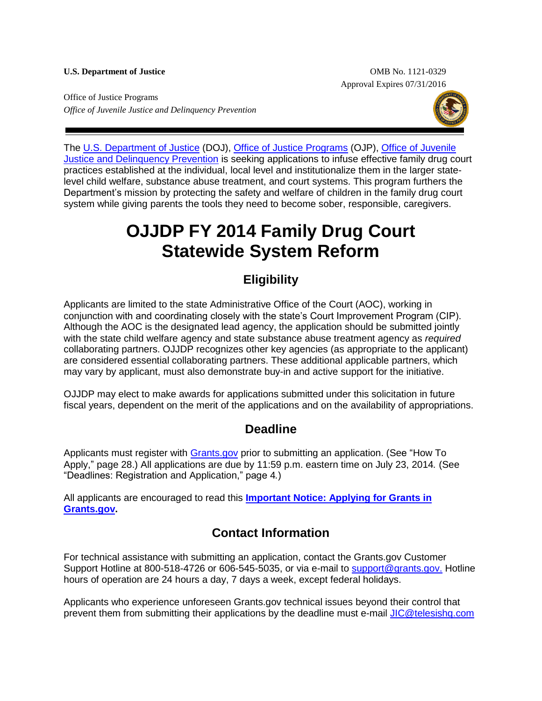**U.S. Department of Justice** OMB No. 1121-0329 Approval Expires 07/31/2016

Office of Justice Programs *Office of Juvenile Justice and Delinquency Prevention* 



The [U.S. Department of Justice](http://www.usdoj.gov/) (DOJ), [Office of Justice Programs](http://www.ojp.usdoj.gov/) (OJP), [Office of Juvenile](http://www.ojjdp.gov/)  [Justice and Delinquency Prevention](http://www.ojjdp.gov/) is seeking applications to infuse effective family drug court practices established at the individual, local level and institutionalize them in the larger statelevel child welfare, substance abuse treatment, and court systems. This program furthers the Department's mission by protecting the safety and welfare of children in the family drug court system while giving parents the tools they need to become sober, responsible, caregivers.

# **OJJDP FY 2014 Family Drug Court Statewide System Reform**

### **Eligibility**

Applicants are limited to the state Administrative Office of the Court (AOC), working in conjunction with and coordinating closely with the state's Court Improvement Program (CIP). Although the AOC is the designated lead agency, the application should be submitted jointly with the state child welfare agency and state substance abuse treatment agency as *required* collaborating partners. OJJDP recognizes other key agencies (as appropriate to the applicant) are considered essential collaborating partners. These additional applicable partners, which may vary by applicant, must also demonstrate buy-in and active support for the initiative.

OJJDP may elect to make awards for applications submitted under this solicitation in future fiscal years, dependent on the merit of the applications and on the availability of appropriations.

### **Deadline**

Applicants must register with [Grants.gov](http://www.grants.gov/applicants/apply_for_grants.jsp) prior to submitting an application. (See "How To Apply," page 28.) All applications are due by 11:59 p.m. eastern time on July 23, 2014*.* (See "Deadlines: Registration and Application," page 4*.*)

All applicants are encouraged to read this **[Important Notice: Applying for Grants in](http://www.ojp.usdoj.gov/funding/grantsgov_information.htm)  [Grants.gov.](http://www.ojp.usdoj.gov/funding/grantsgov_information.htm)**

### **Contact Information**

For technical assistance with submitting an application, contact the Grants.gov Customer Support Hotline at 800-518-4726 or 606-545-5035, or via e-mail to [support@grants.gov.](mailto:support@grants.gov) Hotline hours of operation are 24 hours a day, 7 days a week, except federal holidays.

Applicants who experience unforeseen Grants.gov technical issues beyond their control that prevent them from submitting their applications by the deadline must e-mail [JIC@telesishq.com](mailto:JIC@telesishq.com)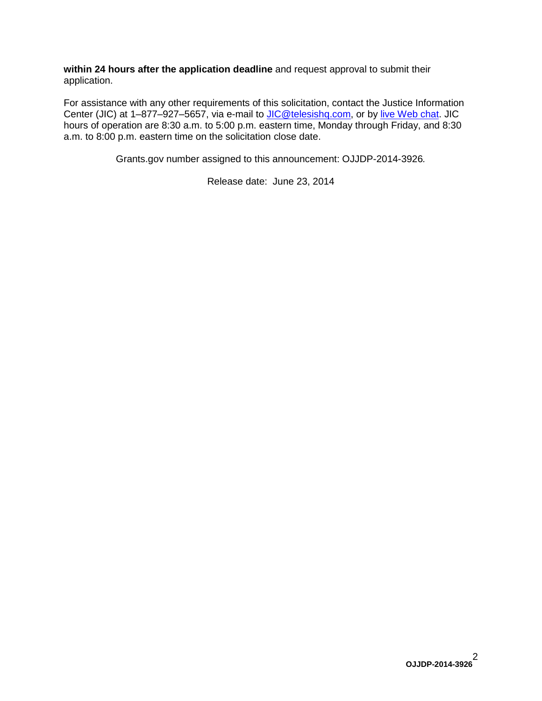**within 24 hours after the application deadline** and request approval to submit their application.

For assistance with any other requirements of this solicitation, contact the Justice Information Center (JIC) at 1-877-927-5657, via e-mail to [JIC@telesishq.com,](mailto:JIC@telesishq.com) or by [live Web chat.](http://www.justiceinformationcenter.us/) JIC hours of operation are 8:30 a.m. to 5:00 p.m. eastern time, Monday through Friday, and 8:30 a.m. to 8:00 p.m. eastern time on the solicitation close date.

Grants.gov number assigned to this announcement: OJJDP-2014-3926*.*

Release date: June 23, 2014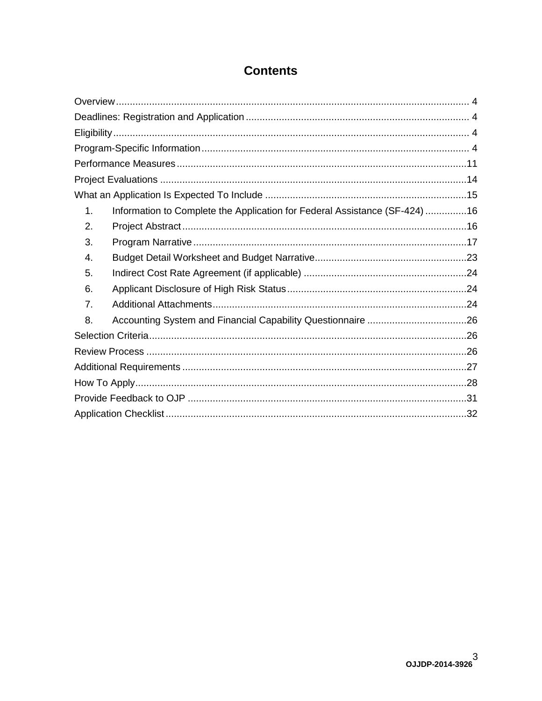### **Contents**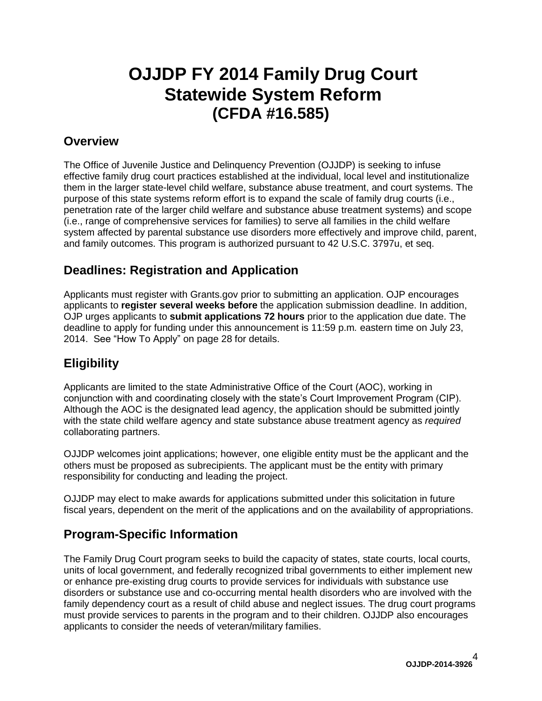# **OJJDP FY 2014 Family Drug Court Statewide System Reform (CFDA #16.585)**

### <span id="page-3-0"></span>**Overview**

The Office of Juvenile Justice and Delinquency Prevention (OJJDP) is seeking to infuse effective family drug court practices established at the individual, local level and institutionalize them in the larger state-level child welfare, substance abuse treatment, and court systems. The purpose of this state systems reform effort is to expand the scale of family drug courts (i.e., penetration rate of the larger child welfare and substance abuse treatment systems) and scope (i.e., range of comprehensive services for families) to serve all families in the child welfare system affected by parental substance use disorders more effectively and improve child, parent, and family outcomes. This program is authorized pursuant to 42 U.S.C. 3797u, et seq.

### <span id="page-3-1"></span>**Deadlines: Registration and Application**

Applicants must register with Grants.gov prior to submitting an application. OJP encourages applicants to **register several weeks before** the application submission deadline. In addition, OJP urges applicants to **submit applications 72 hours** prior to the application due date. The deadline to apply for funding under this announcement is 11:59 p.m*.* eastern time on July 23, 2014. See "How To Apply" on page 28 for details.

### <span id="page-3-2"></span>**Eligibility**

Applicants are limited to the state Administrative Office of the Court (AOC), working in conjunction with and coordinating closely with the state's Court Improvement Program (CIP). Although the AOC is the designated lead agency, the application should be submitted jointly with the state child welfare agency and state substance abuse treatment agency as *required* collaborating partners.

OJJDP welcomes joint applications; however, one eligible entity must be the applicant and the others must be proposed as subrecipients. The applicant must be the entity with primary responsibility for conducting and leading the project.

OJJDP may elect to make awards for applications submitted under this solicitation in future fiscal years, dependent on the merit of the applications and on the availability of appropriations.

### <span id="page-3-3"></span>**Program-Specific Information**

The Family Drug Court program seeks to build the capacity of states, state courts, local courts, units of local government, and federally recognized tribal governments to either implement new or enhance pre-existing drug courts to provide services for individuals with substance use disorders or substance use and co-occurring mental health disorders who are involved with the family dependency court as a result of child abuse and neglect issues. The drug court programs must provide services to parents in the program and to their children. OJJDP also encourages applicants to consider the needs of veteran/military families.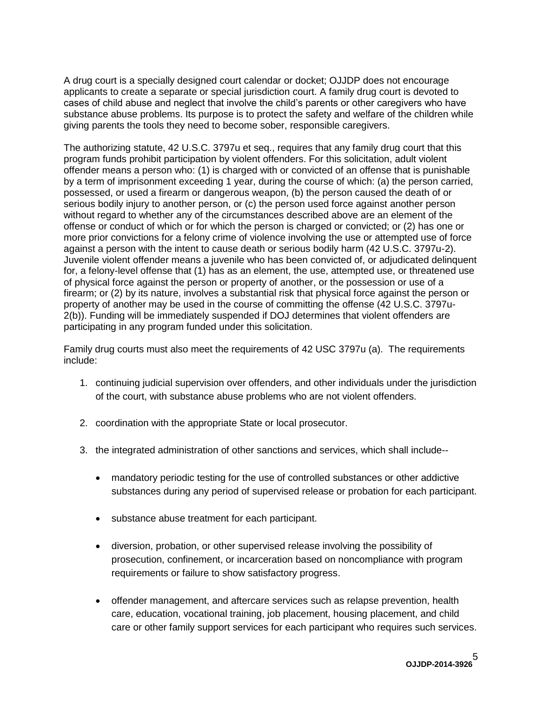A drug court is a specially designed court calendar or docket; OJJDP does not encourage applicants to create a separate or special jurisdiction court. A family drug court is devoted to cases of child abuse and neglect that involve the child's parents or other caregivers who have substance abuse problems. Its purpose is to protect the safety and welfare of the children while giving parents the tools they need to become sober, responsible caregivers.

The authorizing statute, 42 U.S.C. 3797u et seq., requires that any family drug court that this program funds prohibit participation by violent offenders. For this solicitation, adult violent offender means a person who: (1) is charged with or convicted of an offense that is punishable by a term of imprisonment exceeding 1 year, during the course of which: (a) the person carried, possessed, or used a firearm or dangerous weapon, (b) the person caused the death of or serious bodily injury to another person, or (c) the person used force against another person without regard to whether any of the circumstances described above are an element of the offense or conduct of which or for which the person is charged or convicted; or (2) has one or more prior convictions for a felony crime of violence involving the use or attempted use of force against a person with the intent to cause death or serious bodily harm (42 U.S.C. 3797u-2). Juvenile violent offender means a juvenile who has been convicted of, or adjudicated delinquent for, a felony-level offense that (1) has as an element, the use, attempted use, or threatened use of physical force against the person or property of another, or the possession or use of a firearm; or (2) by its nature, involves a substantial risk that physical force against the person or property of another may be used in the course of committing the offense (42 U.S.C. 3797u-2(b)). Funding will be immediately suspended if DOJ determines that violent offenders are participating in any program funded under this solicitation.

Family drug courts must also meet the requirements of 42 USC 3797u (a). The requirements include:

- 1. continuing judicial supervision over offenders, and other individuals under the jurisdiction of the court, with substance abuse problems who are not violent offenders.
- 2. coordination with the appropriate State or local prosecutor.
- 3. the integrated administration of other sanctions and services, which shall include-
	- mandatory periodic testing for the use of controlled substances or other addictive substances during any period of supervised release or probation for each participant.
	- substance abuse treatment for each participant.
	- diversion, probation, or other supervised release involving the possibility of prosecution, confinement, or incarceration based on noncompliance with program requirements or failure to show satisfactory progress.
	- offender management, and aftercare services such as relapse prevention, health care, education, vocational training, job placement, housing placement, and child care or other family support services for each participant who requires such services.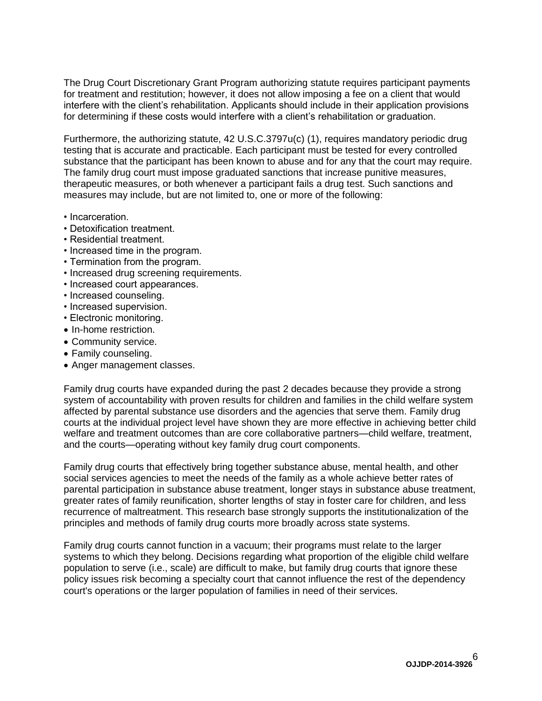The Drug Court Discretionary Grant Program authorizing statute requires participant payments for treatment and restitution; however, it does not allow imposing a fee on a client that would interfere with the client's rehabilitation. Applicants should include in their application provisions for determining if these costs would interfere with a client's rehabilitation or graduation.

Furthermore, the authorizing statute, 42 U.S.C.3797u(c) (1), requires mandatory periodic drug testing that is accurate and practicable. Each participant must be tested for every controlled substance that the participant has been known to abuse and for any that the court may require. The family drug court must impose graduated sanctions that increase punitive measures, therapeutic measures, or both whenever a participant fails a drug test. Such sanctions and measures may include, but are not limited to, one or more of the following:

- Incarceration.
- Detoxification treatment.
- Residential treatment.
- Increased time in the program.
- Termination from the program.
- Increased drug screening requirements.
- Increased court appearances.
- Increased counseling.
- Increased supervision.
- Electronic monitoring.
- In-home restriction.
- Community service.
- Family counseling.
- Anger management classes.

Family drug courts have expanded during the past 2 decades because they provide a strong system of accountability with proven results for children and families in the child welfare system affected by parental substance use disorders and the agencies that serve them. Family drug courts at the individual project level have shown they are more effective in achieving better child welfare and treatment outcomes than are core collaborative partners—child welfare, treatment, and the courts—operating without key family drug court components.

Family drug courts that effectively bring together substance abuse, mental health, and other social services agencies to meet the needs of the family as a whole achieve better rates of parental participation in substance abuse treatment, longer stays in substance abuse treatment, greater rates of family reunification, shorter lengths of stay in foster care for children, and less recurrence of maltreatment. This research base strongly supports the institutionalization of the principles and methods of family drug courts more broadly across state systems.

Family drug courts cannot function in a vacuum; their programs must relate to the larger systems to which they belong. Decisions regarding what proportion of the eligible child welfare population to serve (i.e., scale) are difficult to make, but family drug courts that ignore these policy issues risk becoming a specialty court that cannot influence the rest of the dependency court's operations or the larger population of families in need of their services.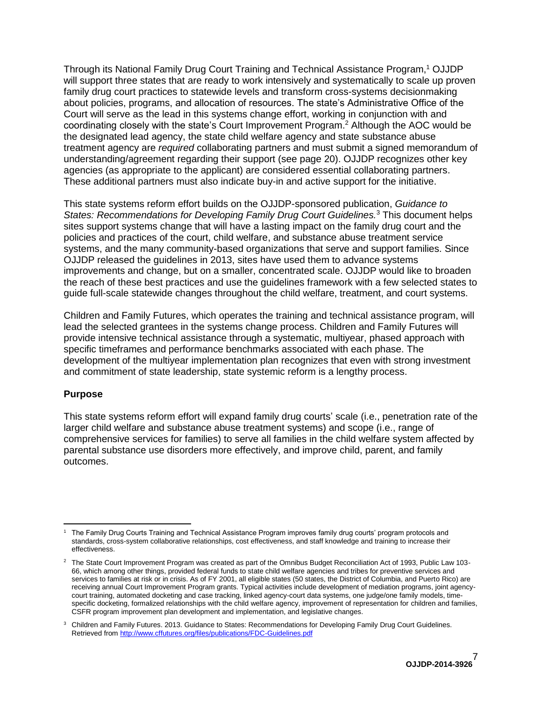Through its National Family Drug Court Training and Technical Assistance Program,<sup>1</sup> OJJDP will support three states that are ready to work intensively and systematically to scale up proven family drug court practices to statewide levels and transform cross-systems decisionmaking about policies, programs, and allocation of resources. The state's Administrative Office of the Court will serve as the lead in this systems change effort, working in conjunction with and coordinating closely with the state's Court Improvement Program. <sup>2</sup> Although the AOC would be the designated lead agency, the state child welfare agency and state substance abuse treatment agency are *required* collaborating partners and must submit a signed memorandum of understanding/agreement regarding their support (see page 20). OJJDP recognizes other key agencies (as appropriate to the applicant) are considered essential collaborating partners. These additional partners must also indicate buy-in and active support for the initiative.

This state systems reform effort builds on the OJJDP-sponsored publication, *Guidance to States: Recommendations for Developing Family Drug Court Guidelines.*<sup>3</sup> This document helps sites support systems change that will have a lasting impact on the family drug court and the policies and practices of the court, child welfare, and substance abuse treatment service systems, and the many community-based organizations that serve and support families. Since OJJDP released the guidelines in 2013, sites have used them to advance systems improvements and change, but on a smaller, concentrated scale. OJJDP would like to broaden the reach of these best practices and use the guidelines framework with a few selected states to guide full-scale statewide changes throughout the child welfare, treatment, and court systems.

Children and Family Futures, which operates the training and technical assistance program, will lead the selected grantees in the systems change process. Children and Family Futures will provide intensive technical assistance through a systematic, multiyear, phased approach with specific timeframes and performance benchmarks associated with each phase. The development of the multiyear implementation plan recognizes that even with strong investment and commitment of state leadership, state systemic reform is a lengthy process.

#### **Purpose**

This state systems reform effort will expand family drug courts' scale (i.e., penetration rate of the larger child welfare and substance abuse treatment systems) and scope (i.e., range of comprehensive services for families) to serve all families in the child welfare system affected by parental substance use disorders more effectively, and improve child, parent, and family outcomes.

 $\overline{a}$ <sup>1</sup> The Family Drug Courts Training and Technical Assistance Program improves family drug courts' program protocols and standards, cross-system collaborative relationships, cost effectiveness, and staff knowledge and training to increase their effectiveness.

 $2$  The State Court Improvement Program was created as part of the Omnibus Budget Reconciliation Act of 1993, Public Law 103-66, which among other things, provided federal funds to state child welfare agencies and tribes for preventive services and services to families at risk or in crisis. As of FY 2001, all eligible states (50 states, the District of Columbia, and Puerto Rico) are receiving annual Court Improvement Program grants. Typical activities include development of mediation programs, joint agencycourt training, automated docketing and case tracking, linked agency-court data systems, one judge/one family models, timespecific docketing, formalized relationships with the child welfare agency, improvement of representation for children and families, CSFR program improvement plan development and implementation, and legislative changes.

<sup>&</sup>lt;sup>3</sup> Children and Family Futures. 2013. Guidance to States: Recommendations for Developing Family Drug Court Guidelines. Retrieved fro[m http://www.cffutures.org/files/publications/FDC-Guidelines.pdf](http://www.cffutures.org/files/publications/FDC-Guidelines.pdf)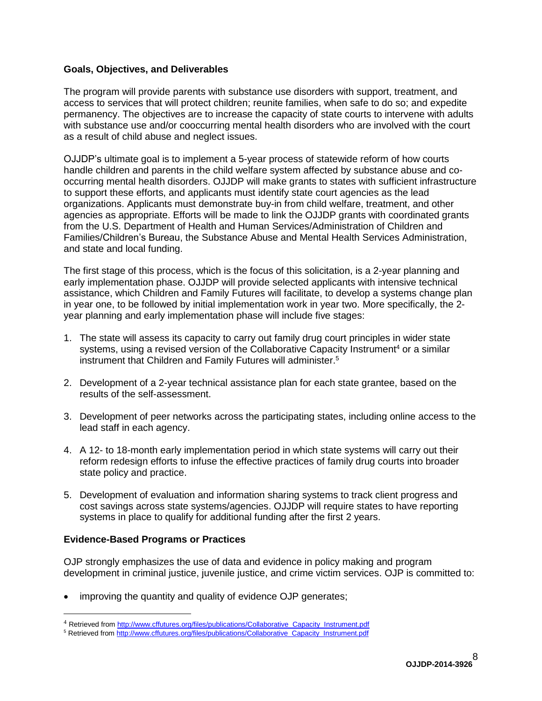#### **Goals, Objectives, and Deliverables**

The program will provide parents with substance use disorders with support, treatment, and access to services that will protect children; reunite families, when safe to do so; and expedite permanency. The objectives are to increase the capacity of state courts to intervene with adults with substance use and/or cooccurring mental health disorders who are involved with the court as a result of child abuse and neglect issues.

OJJDP's ultimate goal is to implement a 5-year process of statewide reform of how courts handle children and parents in the child welfare system affected by substance abuse and cooccurring mental health disorders. OJJDP will make grants to states with sufficient infrastructure to support these efforts, and applicants must identify state court agencies as the lead organizations. Applicants must demonstrate buy-in from child welfare, treatment, and other agencies as appropriate. Efforts will be made to link the OJJDP grants with coordinated grants from the U.S. Department of Health and Human Services/Administration of Children and Families/Children's Bureau, the Substance Abuse and Mental Health Services Administration, and state and local funding.

The first stage of this process, which is the focus of this solicitation, is a 2-year planning and early implementation phase. OJJDP will provide selected applicants with intensive technical assistance, which Children and Family Futures will facilitate, to develop a systems change plan in year one, to be followed by initial implementation work in year two. More specifically, the 2 year planning and early implementation phase will include five stages:

- 1. The state will assess its capacity to carry out family drug court principles in wider state systems, using a revised version of the Collaborative Capacity Instrument<sup>4</sup> or a similar instrument that Children and Family Futures will administer. 5
- 2. Development of a 2-year technical assistance plan for each state grantee, based on the results of the self-assessment.
- 3. Development of peer networks across the participating states, including online access to the lead staff in each agency.
- 4. A 12- to 18-month early implementation period in which state systems will carry out their reform redesign efforts to infuse the effective practices of family drug courts into broader state policy and practice.
- 5. Development of evaluation and information sharing systems to track client progress and cost savings across state systems/agencies. OJJDP will require states to have reporting systems in place to qualify for additional funding after the first 2 years.

#### **Evidence-Based Programs or Practices**

 $\overline{a}$ 

OJP strongly emphasizes the use of data and evidence in policy making and program development in criminal justice, juvenile justice, and crime victim services. OJP is committed to:

improving the quantity and quality of evidence OJP generates;

<sup>&</sup>lt;sup>4</sup> Retrieved fro[m http://www.cffutures.org/files/publications/Collaborative\\_Capacity\\_Instrument.pdf](http://www.cffutures.org/files/publications/Collaborative_Capacity_Instrument.pdf)

<sup>&</sup>lt;sup>5</sup> Retrieved fro[m http://www.cffutures.org/files/publications/Collaborative\\_Capacity\\_Instrument.pdf](http://www.cffutures.org/files/publications/Collaborative_Capacity_Instrument.pdf)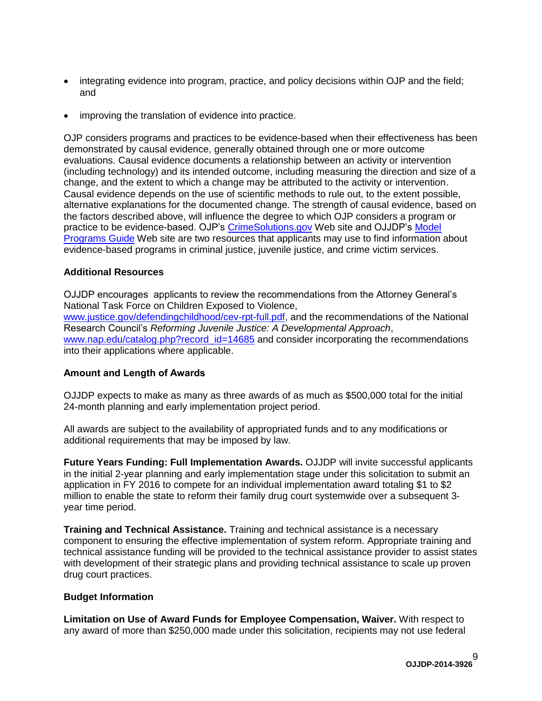- integrating evidence into program, practice, and policy decisions within OJP and the field; and
- improving the translation of evidence into practice.

OJP considers programs and practices to be evidence-based when their effectiveness has been demonstrated by causal evidence, generally obtained through one or more outcome evaluations. Causal evidence documents a relationship between an activity or intervention (including technology) and its intended outcome, including measuring the direction and size of a change, and the extent to which a change may be attributed to the activity or intervention. Causal evidence depends on the use of scientific methods to rule out, to the extent possible, alternative explanations for the documented change. The strength of causal evidence, based on the factors described above, will influence the degree to which OJP considers a program or practice to be evidence-based. OJP's [CrimeSolutions.gov](http://www.crimesolutions.gov/) Web site and OJJDP's [Model](http://www.ojjdp.gov/MPG/)  [Programs](http://www.ojjdp.gov/MPG/) Guide Web site are two resources that applicants may use to find information about evidence-based programs in criminal justice, juvenile justice, and crime victim services.

#### **Additional Resources**

OJJDP encourages applicants to review the recommendations from the Attorney General's National Task Force on Children Exposed to Violence, [www.justice.gov/defendingchildhood/cev-rpt-full.pdf,](http://www.justice.gov/defendingchildhood/cev-rpt-full.pdf) and the recommendations of the National Research Council's *Reforming Juvenile Justice: A Developmental Approach*, [www.nap.edu/catalog.php?record\\_id=14685](http://www.nap.edu/catalog.php?record_id=14685) and consider incorporating the recommendations into their applications where applicable.

#### **Amount and Length of Awards**

OJJDP expects to make as many as three awards of as much as \$500,000 total for the initial 24-month planning and early implementation project period.

All awards are subject to the availability of appropriated funds and to any modifications or additional requirements that may be imposed by law.

**Future Years Funding: Full Implementation Awards.** OJJDP will invite successful applicants in the initial 2-year planning and early implementation stage under this solicitation to submit an application in FY 2016 to compete for an individual implementation award totaling \$1 to \$2 million to enable the state to reform their family drug court systemwide over a subsequent 3 year time period.

**Training and Technical Assistance.** Training and technical assistance is a necessary component to ensuring the effective implementation of system reform. Appropriate training and technical assistance funding will be provided to the technical assistance provider to assist states with development of their strategic plans and providing technical assistance to scale up proven drug court practices.

#### **Budget Information**

**Limitation on Use of Award Funds for Employee Compensation, Waiver.** With respect to any award of more than \$250,000 made under this solicitation, recipients may not use federal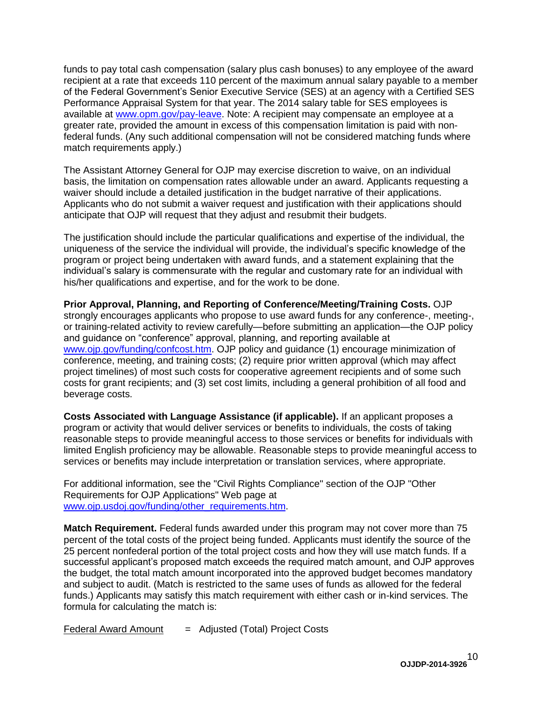funds to pay total cash compensation (salary plus cash bonuses) to any employee of the award recipient at a rate that exceeds 110 percent of the maximum annual salary payable to a member of the Federal Government's Senior Executive Service (SES) at an agency with a Certified SES Performance Appraisal System for that year. The 2014 salary table for SES employees is available at [www.opm.gov/pay-leave.](http://www.opm.gov/policy-data-oversight/pay-leave/salaries-wages/salary-tables/14Tables/exec/html/ES.aspx) Note: A recipient may compensate an employee at a greater rate, provided the amount in excess of this compensation limitation is paid with nonfederal funds. (Any such additional compensation will not be considered matching funds where match requirements apply.)

The Assistant Attorney General for OJP may exercise discretion to waive, on an individual basis, the limitation on compensation rates allowable under an award. Applicants requesting a waiver should include a detailed justification in the budget narrative of their applications. Applicants who do not submit a waiver request and justification with their applications should anticipate that OJP will request that they adjust and resubmit their budgets.

The justification should include the particular qualifications and expertise of the individual, the uniqueness of the service the individual will provide, the individual's specific knowledge of the program or project being undertaken with award funds, and a statement explaining that the individual's salary is commensurate with the regular and customary rate for an individual with his/her qualifications and expertise, and for the work to be done.

**Prior Approval, Planning, and Reporting of Conference/Meeting/Training Costs.** OJP strongly encourages applicants who propose to use award funds for any conference-, meeting-, or training-related activity to review carefully—before submitting an application—the OJP policy and guidance on "conference" approval, planning, and reporting available at [www.ojp.gov/funding/confcost.htm.](http://www.ojp.gov/funding/confcost.htm) OJP policy and guidance (1) encourage minimization of conference, meeting, and training costs; (2) require prior written approval (which may affect project timelines) of most such costs for cooperative agreement recipients and of some such costs for grant recipients; and (3) set cost limits, including a general prohibition of all food and beverage costs.

**Costs Associated with Language Assistance (if applicable).** If an applicant proposes a program or activity that would deliver services or benefits to individuals, the costs of taking reasonable steps to provide meaningful access to those services or benefits for individuals with limited English proficiency may be allowable. Reasonable steps to provide meaningful access to services or benefits may include interpretation or translation services, where appropriate.

For additional information, see the "Civil Rights Compliance" section of the OJP "Other Requirements for OJP Applications" Web page at [www.ojp.usdoj.gov/funding/other\\_requirements.htm.](http://www.ojp.usdoj.gov/funding/other_requirements.htm)

**Match Requirement.** Federal funds awarded under this program may not cover more than 75 percent of the total costs of the project being funded. Applicants must identify the source of the 25 percent nonfederal portion of the total project costs and how they will use match funds. If a successful applicant's proposed match exceeds the required match amount, and OJP approves the budget, the total match amount incorporated into the approved budget becomes mandatory and subject to audit. (Match is restricted to the same uses of funds as allowed for the federal funds.) Applicants may satisfy this match requirement with either cash or in-kind services. The formula for calculating the match is:

 $Federal Award Amount = Adjusted (Total) Project Costs$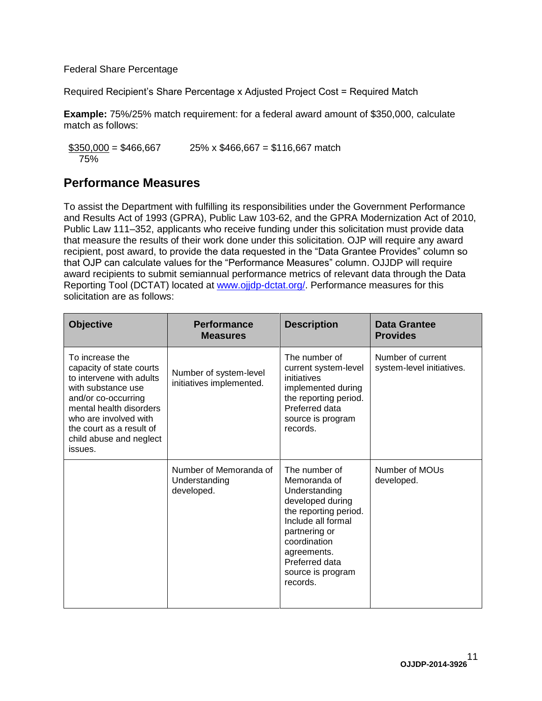Federal Share Percentage

Required Recipient's Share Percentage x Adjusted Project Cost = Required Match

**Example:** 75%/25% match requirement: for a federal award amount of \$350,000, calculate match as follows:

 $$350,000 = $466,667$  25% x \$466,667 = \$116,667 match 75%

### <span id="page-10-0"></span>**Performance Measures**

To assist the Department with fulfilling its responsibilities under the Government Performance and Results Act of 1993 (GPRA), Public Law 103-62, and the GPRA Modernization Act of 2010, Public Law 111–352, applicants who receive funding under this solicitation must provide data that measure the results of their work done under this solicitation. OJP will require any award recipient, post award, to provide the data requested in the "Data Grantee Provides" column so that OJP can calculate values for the "Performance Measures" column. OJJDP will require award recipients to submit semiannual performance metrics of relevant data through the Data Reporting Tool (DCTAT) located at [www.ojjdp-dctat.org/.](http://www.ojjdp-dctat.org/) Performance measures for this solicitation are as follows:

| <b>Objective</b>                                                                                                                                                                                                                           | <b>Performance</b><br><b>Measures</b>                 | <b>Description</b>                                                                                                                                                                                                   | <b>Data Grantee</b><br><b>Provides</b>         |
|--------------------------------------------------------------------------------------------------------------------------------------------------------------------------------------------------------------------------------------------|-------------------------------------------------------|----------------------------------------------------------------------------------------------------------------------------------------------------------------------------------------------------------------------|------------------------------------------------|
| To increase the<br>capacity of state courts<br>to intervene with adults<br>with substance use<br>and/or co-occurring<br>mental health disorders<br>who are involved with<br>the court as a result of<br>child abuse and neglect<br>issues. | Number of system-level<br>initiatives implemented.    | The number of<br>current system-level<br>initiatives<br>implemented during<br>the reporting period.<br>Preferred data<br>source is program<br>records.                                                               | Number of current<br>system-level initiatives. |
|                                                                                                                                                                                                                                            | Number of Memoranda of<br>Understanding<br>developed. | The number of<br>Memoranda of<br>Understanding<br>developed during<br>the reporting period.<br>Include all formal<br>partnering or<br>coordination<br>agreements.<br>Preferred data<br>source is program<br>records. | Number of MOUs<br>developed.                   |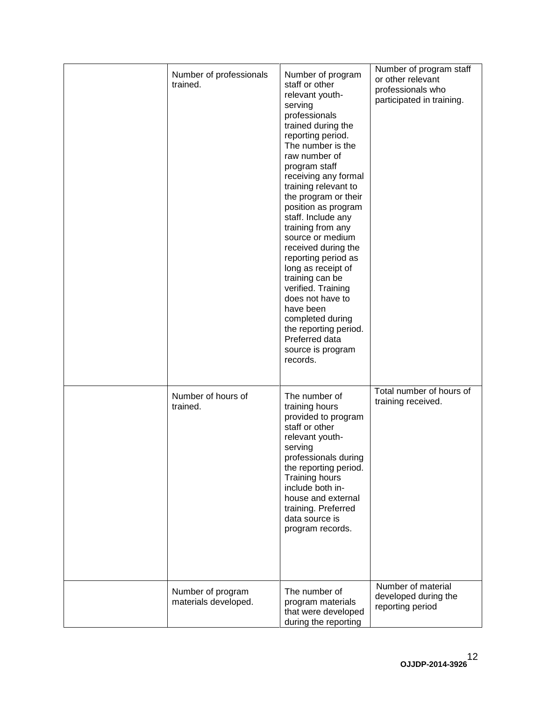| Number of professionals<br>trained.       | Number of program<br>staff or other<br>relevant youth-<br>serving<br>professionals<br>trained during the<br>reporting period.<br>The number is the<br>raw number of<br>program staff<br>receiving any formal<br>training relevant to<br>the program or their<br>position as program<br>staff. Include any<br>training from any<br>source or medium<br>received during the<br>reporting period as<br>long as receipt of<br>training can be<br>verified. Training<br>does not have to<br>have been<br>completed during<br>the reporting period.<br>Preferred data<br>source is program<br>records. | Number of program staff<br>or other relevant<br>professionals who<br>participated in training. |
|-------------------------------------------|--------------------------------------------------------------------------------------------------------------------------------------------------------------------------------------------------------------------------------------------------------------------------------------------------------------------------------------------------------------------------------------------------------------------------------------------------------------------------------------------------------------------------------------------------------------------------------------------------|------------------------------------------------------------------------------------------------|
| Number of hours of<br>trained.            | The number of<br>training hours<br>provided to program<br>staff or other<br>relevant youth-<br>serving<br>professionals during<br>the reporting period.<br>Training hours<br>include both in-<br>house and external<br>training. Preferred<br>data source is<br>program records.                                                                                                                                                                                                                                                                                                                 | Total number of hours of<br>training received.                                                 |
| Number of program<br>materials developed. | The number of<br>program materials<br>that were developed<br>during the reporting                                                                                                                                                                                                                                                                                                                                                                                                                                                                                                                | Number of material<br>developed during the<br>reporting period                                 |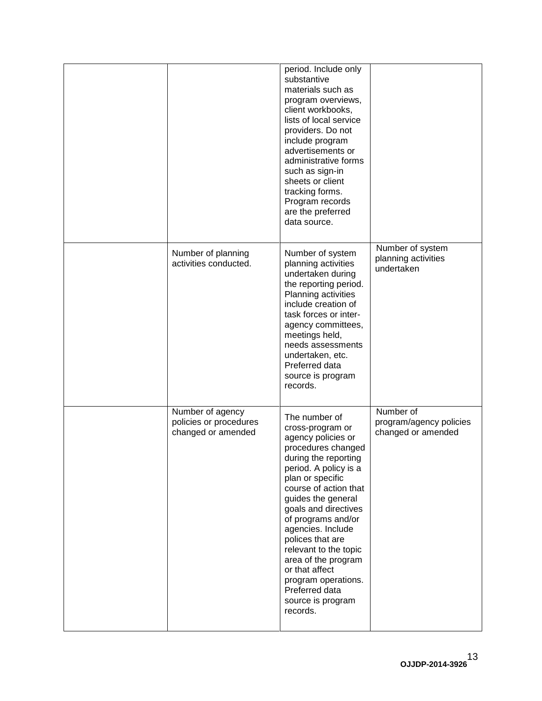|                                                                  | period. Include only<br>substantive<br>materials such as<br>program overviews,<br>client workbooks,<br>lists of local service<br>providers. Do not<br>include program<br>advertisements or<br>administrative forms<br>such as sign-in<br>sheets or client<br>tracking forms.<br>Program records<br>are the preferred<br>data source.                                                                                                 |                                                            |
|------------------------------------------------------------------|--------------------------------------------------------------------------------------------------------------------------------------------------------------------------------------------------------------------------------------------------------------------------------------------------------------------------------------------------------------------------------------------------------------------------------------|------------------------------------------------------------|
| Number of planning<br>activities conducted.                      | Number of system<br>planning activities<br>undertaken during<br>the reporting period.<br>Planning activities<br>include creation of<br>task forces or inter-<br>agency committees,<br>meetings held,<br>needs assessments<br>undertaken, etc.<br>Preferred data<br>source is program<br>records.                                                                                                                                     | Number of system<br>planning activities<br>undertaken      |
| Number of agency<br>policies or procedures<br>changed or amended | The number of<br>cross-program or<br>agency policies or<br>procedures changed<br>during the reporting<br>period. A policy is a<br>plan or specific<br>course of action that<br>guides the general<br>goals and directives<br>of programs and/or<br>agencies. Include<br>polices that are<br>relevant to the topic<br>area of the program<br>or that affect<br>program operations.<br>Preferred data<br>source is program<br>records. | Number of<br>program/agency policies<br>changed or amended |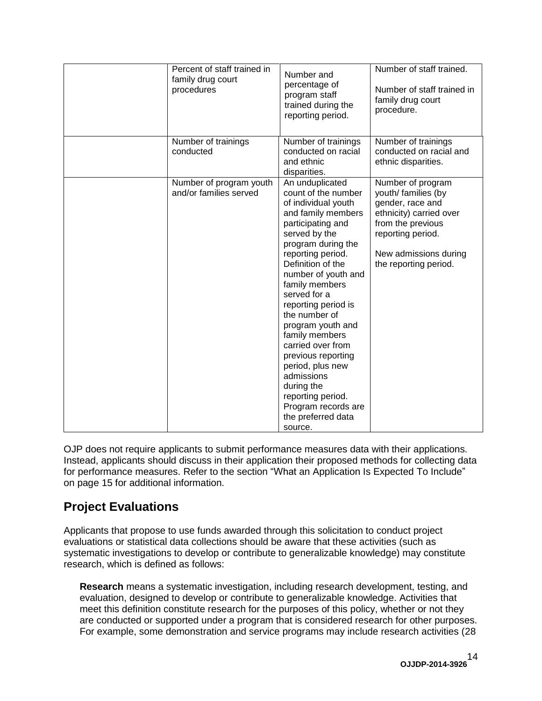| Percent of staff trained in<br>family drug court<br>procedures | Number and<br>percentage of<br>program staff<br>trained during the<br>reporting period.                                                                                                                                                                                                                                                                                                                                                                                                                   | Number of staff trained.<br>Number of staff trained in<br>family drug court<br>procedure.                                                                                           |
|----------------------------------------------------------------|-----------------------------------------------------------------------------------------------------------------------------------------------------------------------------------------------------------------------------------------------------------------------------------------------------------------------------------------------------------------------------------------------------------------------------------------------------------------------------------------------------------|-------------------------------------------------------------------------------------------------------------------------------------------------------------------------------------|
| Number of trainings<br>conducted                               | Number of trainings<br>conducted on racial<br>and ethnic<br>disparities.                                                                                                                                                                                                                                                                                                                                                                                                                                  | Number of trainings<br>conducted on racial and<br>ethnic disparities.                                                                                                               |
| Number of program youth<br>and/or families served              | An unduplicated<br>count of the number<br>of individual youth<br>and family members<br>participating and<br>served by the<br>program during the<br>reporting period.<br>Definition of the<br>number of youth and<br>family members<br>served for a<br>reporting period is<br>the number of<br>program youth and<br>family members<br>carried over from<br>previous reporting<br>period, plus new<br>admissions<br>during the<br>reporting period.<br>Program records are<br>the preferred data<br>source. | Number of program<br>youth/ families (by<br>gender, race and<br>ethnicity) carried over<br>from the previous<br>reporting period.<br>New admissions during<br>the reporting period. |

OJP does not require applicants to submit performance measures data with their applications. Instead, applicants should discuss in their application their proposed methods for collecting data for performance measures. Refer to the section "What an Application Is Expected To Include" on page 15 for additional information.

### <span id="page-13-0"></span>**Project Evaluations**

Applicants that propose to use funds awarded through this solicitation to conduct project evaluations or statistical data collections should be aware that these activities (such as systematic investigations to develop or contribute to generalizable knowledge) may constitute research, which is defined as follows:

**Research** means a systematic investigation, including research development, testing, and evaluation, designed to develop or contribute to generalizable knowledge. Activities that meet this definition constitute research for the purposes of this policy, whether or not they are conducted or supported under a program that is considered research for other purposes. For example, some demonstration and service programs may include research activities (28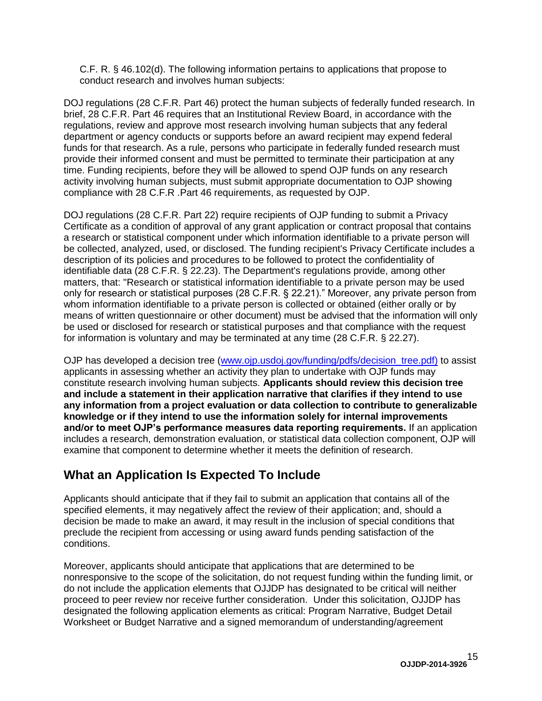C.F. R. § 46.102(d). The following information pertains to applications that propose to conduct research and involves human subjects:

DOJ regulations (28 C.F.R. Part 46) protect the human subjects of federally funded research. In brief, 28 C.F.R. Part 46 requires that an Institutional Review Board, in accordance with the regulations, review and approve most research involving human subjects that any federal department or agency conducts or supports before an award recipient may expend federal funds for that research. As a rule, persons who participate in federally funded research must provide their informed consent and must be permitted to terminate their participation at any time. Funding recipients, before they will be allowed to spend OJP funds on any research activity involving human subjects, must submit appropriate documentation to OJP showing compliance with 28 C.F.R .Part 46 requirements, as requested by OJP.

DOJ regulations (28 C.F.R. Part 22) require recipients of OJP funding to submit a Privacy Certificate as a condition of approval of any grant application or contract proposal that contains a research or statistical component under which information identifiable to a private person will be collected, analyzed, used, or disclosed. The funding recipient's Privacy Certificate includes a description of its policies and procedures to be followed to protect the confidentiality of identifiable data (28 C.F.R. § 22.23). The Department's regulations provide, among other matters, that: "Research or statistical information identifiable to a private person may be used only for research or statistical purposes (28 C.F.R. § 22.21)." Moreover, any private person from whom information identifiable to a private person is collected or obtained (either orally or by means of written questionnaire or other document) must be advised that the information will only be used or disclosed for research or statistical purposes and that compliance with the request for information is voluntary and may be terminated at any time (28 C.F.R. § 22.27).

OJP has developed a decision tree [\(www.ojp.usdoj.gov/funding/pdfs/decision\\_tree.pdf\)](http://www.ojp.usdoj.gov/funding/pdfs/decision_tree.pdf) to assist applicants in assessing whether an activity they plan to undertake with OJP funds may constitute research involving human subjects. **Applicants should review this decision tree and include a statement in their application narrative that clarifies if they intend to use any information from a project evaluation or data collection to contribute to generalizable knowledge or if they intend to use the information solely for internal improvements and/or to meet OJP's performance measures data reporting requirements.** If an application includes a research, demonstration evaluation, or statistical data collection component, OJP will examine that component to determine whether it meets the definition of research.

### <span id="page-14-0"></span>**What an Application Is Expected To Include**

Applicants should anticipate that if they fail to submit an application that contains all of the specified elements, it may negatively affect the review of their application; and, should a decision be made to make an award, it may result in the inclusion of special conditions that preclude the recipient from accessing or using award funds pending satisfaction of the conditions.

Moreover, applicants should anticipate that applications that are determined to be nonresponsive to the scope of the solicitation, do not request funding within the funding limit, or do not include the application elements that OJJDP has designated to be critical will neither proceed to peer review nor receive further consideration. Under this solicitation, OJJDP has designated the following application elements as critical: Program Narrative, Budget Detail Worksheet or Budget Narrative and a signed memorandum of understanding/agreement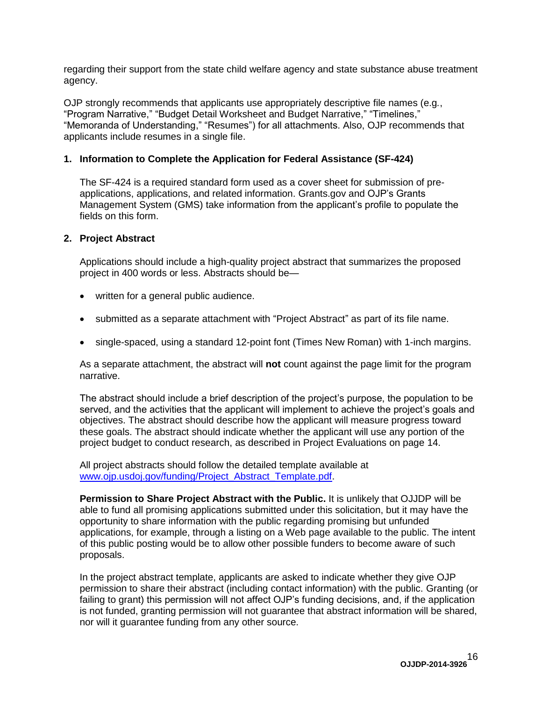regarding their support from the state child welfare agency and state substance abuse treatment agency.

OJP strongly recommends that applicants use appropriately descriptive file names (e.g*.*, "Program Narrative," "Budget Detail Worksheet and Budget Narrative," "Timelines," "Memoranda of Understanding," "Resumes") for all attachments. Also, OJP recommends that applicants include resumes in a single file.

#### <span id="page-15-0"></span>**1. Information to Complete the Application for Federal Assistance (SF-424)**

The SF-424 is a required standard form used as a cover sheet for submission of preapplications, applications, and related information. Grants.gov and OJP's Grants Management System (GMS) take information from the applicant's profile to populate the fields on this form.

#### <span id="page-15-1"></span>**2. Project Abstract**

Applications should include a high-quality project abstract that summarizes the proposed project in 400 words or less. Abstracts should be—

- written for a general public audience.
- submitted as a separate attachment with "Project Abstract" as part of its file name.
- single-spaced, using a standard 12-point font (Times New Roman) with 1-inch margins.

As a separate attachment, the abstract will **not** count against the page limit for the program narrative.

The abstract should include a brief description of the project's purpose, the population to be served, and the activities that the applicant will implement to achieve the project's goals and objectives. The abstract should describe how the applicant will measure progress toward these goals. The abstract should indicate whether the applicant will use any portion of the project budget to conduct research, as described in Project Evaluations on page 14.

All project abstracts should follow the detailed template available at [www.ojp.usdoj.gov/funding/Project\\_Abstract\\_Template.pdf.](http://www.ojp.usdoj.gov/funding/Project_Abstract_Template.pdf)

**Permission to Share Project Abstract with the Public.** It is unlikely that OJJDP will be able to fund all promising applications submitted under this solicitation, but it may have the opportunity to share information with the public regarding promising but unfunded applications, for example, through a listing on a Web page available to the public. The intent of this public posting would be to allow other possible funders to become aware of such proposals.

In the project abstract template, applicants are asked to indicate whether they give OJP permission to share their abstract (including contact information) with the public. Granting (or failing to grant) this permission will not affect OJP's funding decisions, and, if the application is not funded, granting permission will not guarantee that abstract information will be shared, nor will it guarantee funding from any other source.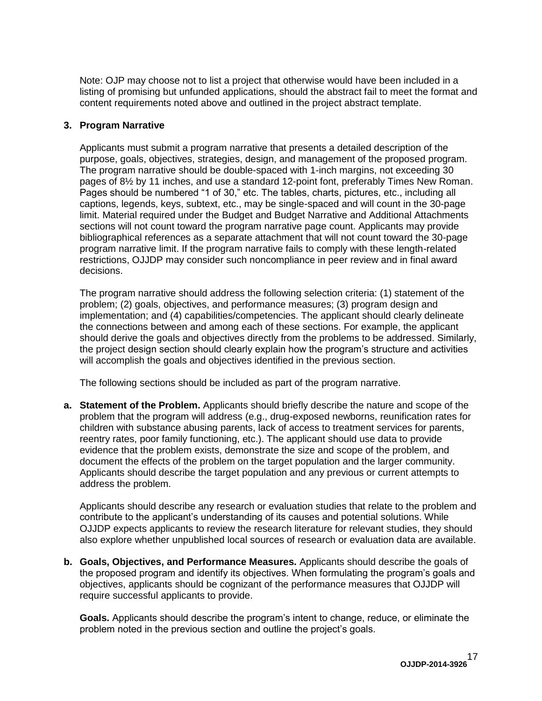Note: OJP may choose not to list a project that otherwise would have been included in a listing of promising but unfunded applications, should the abstract fail to meet the format and content requirements noted above and outlined in the project abstract template.

#### <span id="page-16-0"></span>**3. Program Narrative**

Applicants must submit a program narrative that presents a detailed description of the purpose, goals, objectives, strategies, design, and management of the proposed program. The program narrative should be double-spaced with 1-inch margins, not exceeding 30 pages of 8½ by 11 inches, and use a standard 12-point font, preferably Times New Roman. Pages should be numbered "1 of 30," etc. The tables, charts, pictures, etc., including all captions, legends, keys, subtext, etc., may be single-spaced and will count in the 30-page limit. Material required under the Budget and Budget Narrative and Additional Attachments sections will not count toward the program narrative page count. Applicants may provide bibliographical references as a separate attachment that will not count toward the 30-page program narrative limit. If the program narrative fails to comply with these length-related restrictions, OJJDP may consider such noncompliance in peer review and in final award decisions.

The program narrative should address the following selection criteria: (1) statement of the problem; (2) goals, objectives, and performance measures; (3) program design and implementation; and (4) capabilities/competencies. The applicant should clearly delineate the connections between and among each of these sections. For example, the applicant should derive the goals and objectives directly from the problems to be addressed. Similarly, the project design section should clearly explain how the program's structure and activities will accomplish the goals and objectives identified in the previous section.

The following sections should be included as part of the program narrative.

**a. Statement of the Problem.** Applicants should briefly describe the nature and scope of the problem that the program will address (e.g., drug-exposed newborns, reunification rates for children with substance abusing parents, lack of access to treatment services for parents, reentry rates, poor family functioning, etc.). The applicant should use data to provide evidence that the problem exists, demonstrate the size and scope of the problem, and document the effects of the problem on the target population and the larger community. Applicants should describe the target population and any previous or current attempts to address the problem.

Applicants should describe any research or evaluation studies that relate to the problem and contribute to the applicant's understanding of its causes and potential solutions. While OJJDP expects applicants to review the research literature for relevant studies, they should also explore whether unpublished local sources of research or evaluation data are available.

**b. Goals, Objectives, and Performance Measures.** Applicants should describe the goals of the proposed program and identify its objectives. When formulating the program's goals and objectives, applicants should be cognizant of the performance measures that OJJDP will require successful applicants to provide.

**Goals.** Applicants should describe the program's intent to change, reduce, or eliminate the problem noted in the previous section and outline the project's goals.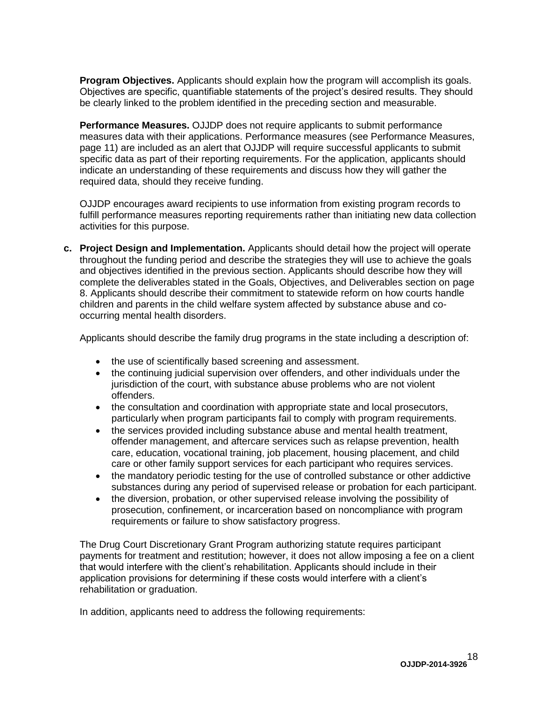**Program Objectives.** Applicants should explain how the program will accomplish its goals. Objectives are specific, quantifiable statements of the project's desired results. They should be clearly linked to the problem identified in the preceding section and measurable.

**Performance Measures.** OJJDP does not require applicants to submit performance measures data with their applications. Performance measures (see Performance Measures, page 11) are included as an alert that OJJDP will require successful applicants to submit specific data as part of their reporting requirements. For the application, applicants should indicate an understanding of these requirements and discuss how they will gather the required data, should they receive funding.

OJJDP encourages award recipients to use information from existing program records to fulfill performance measures reporting requirements rather than initiating new data collection activities for this purpose.

**c. Project Design and Implementation.** Applicants should detail how the project will operate throughout the funding period and describe the strategies they will use to achieve the goals and objectives identified in the previous section. Applicants should describe how they will complete the deliverables stated in the Goals, Objectives, and Deliverables section on page 8. Applicants should describe their commitment to statewide reform on how courts handle children and parents in the child welfare system affected by substance abuse and cooccurring mental health disorders.

Applicants should describe the family drug programs in the state including a description of:

- the use of scientifically based screening and assessment.
- the continuing judicial supervision over offenders, and other individuals under the jurisdiction of the court, with substance abuse problems who are not violent offenders.
- the consultation and coordination with appropriate state and local prosecutors, particularly when program participants fail to comply with program requirements.
- the services provided including substance abuse and mental health treatment, offender management, and aftercare services such as relapse prevention, health care, education, vocational training, job placement, housing placement, and child care or other family support services for each participant who requires services.
- the mandatory periodic testing for the use of controlled substance or other addictive substances during any period of supervised release or probation for each participant.
- the diversion, probation, or other supervised release involving the possibility of prosecution, confinement, or incarceration based on noncompliance with program requirements or failure to show satisfactory progress.

The Drug Court Discretionary Grant Program authorizing statute requires participant payments for treatment and restitution; however, it does not allow imposing a fee on a client that would interfere with the client's rehabilitation. Applicants should include in their application provisions for determining if these costs would interfere with a client's rehabilitation or graduation.

In addition, applicants need to address the following requirements: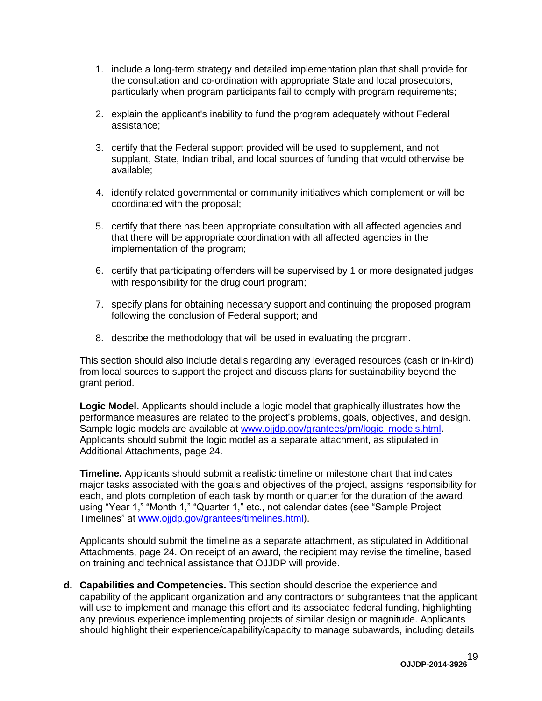- 1. include a long-term strategy and detailed implementation plan that shall provide for the consultation and co-ordination with appropriate State and local prosecutors, particularly when program participants fail to comply with program requirements;
- 2. explain the applicant's inability to fund the program adequately without Federal assistance;
- 3. certify that the Federal support provided will be used to supplement, and not supplant, State, Indian tribal, and local sources of funding that would otherwise be available;
- 4. identify related governmental or community initiatives which complement or will be coordinated with the proposal;
- 5. certify that there has been appropriate consultation with all affected agencies and that there will be appropriate coordination with all affected agencies in the implementation of the program;
- 6. certify that participating offenders will be supervised by 1 or more designated judges with responsibility for the drug court program;
- 7. specify plans for obtaining necessary support and continuing the proposed program following the conclusion of Federal support; and
- 8. describe the methodology that will be used in evaluating the program.

This section should also include details regarding any leveraged resources (cash or in-kind) from local sources to support the project and discuss plans for sustainability beyond the grant period.

**Logic Model.** Applicants should include a logic model that graphically illustrates how the performance measures are related to the project's problems, goals, objectives, and design. Sample logic models are available at [www.ojjdp.gov/grantees/pm/logic\\_models.html.](http://www.ojjdp.gov/grantees/pm/logic_models.html) Applicants should submit the logic model as a separate attachment, as stipulated in Additional Attachments, page 24.

**Timeline.** Applicants should submit a realistic timeline or milestone chart that indicates major tasks associated with the goals and objectives of the project, assigns responsibility for each, and plots completion of each task by month or quarter for the duration of the award, using "Year 1," "Month 1," "Quarter 1," etc., not calendar dates (see "Sample Project Timelines" at [www.ojjdp.gov/grantees/timelines.html\)](http://www.ojjdp.gov/grantees/timelines.html).

Applicants should submit the timeline as a separate attachment, as stipulated in Additional Attachments, page 24. On receipt of an award, the recipient may revise the timeline, based on training and technical assistance that OJJDP will provide.

**d. Capabilities and Competencies.** This section should describe the experience and capability of the applicant organization and any contractors or subgrantees that the applicant will use to implement and manage this effort and its associated federal funding, highlighting any previous experience implementing projects of similar design or magnitude. Applicants should highlight their experience/capability/capacity to manage subawards, including details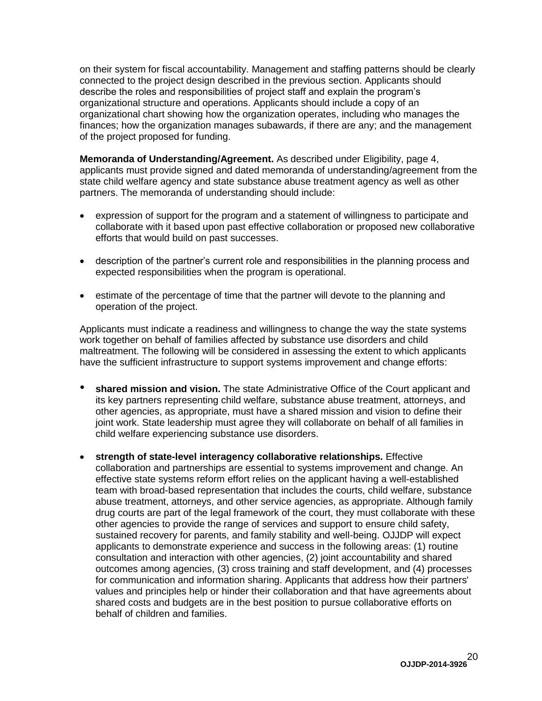on their system for fiscal accountability. Management and staffing patterns should be clearly connected to the project design described in the previous section. Applicants should describe the roles and responsibilities of project staff and explain the program's organizational structure and operations. Applicants should include a copy of an organizational chart showing how the organization operates, including who manages the finances; how the organization manages subawards, if there are any; and the management of the project proposed for funding.

**Memoranda of Understanding/Agreement.** As described under Eligibility, page 4, applicants must provide signed and dated memoranda of understanding/agreement from the state child welfare agency and state substance abuse treatment agency as well as other partners. The memoranda of understanding should include:

- expression of support for the program and a statement of willingness to participate and collaborate with it based upon past effective collaboration or proposed new collaborative efforts that would build on past successes.
- description of the partner's current role and responsibilities in the planning process and expected responsibilities when the program is operational.
- estimate of the percentage of time that the partner will devote to the planning and operation of the project.

Applicants must indicate a readiness and willingness to change the way the state systems work together on behalf of families affected by substance use disorders and child maltreatment. The following will be considered in assessing the extent to which applicants have the sufficient infrastructure to support systems improvement and change efforts:

- **shared mission and vision.** The state Administrative Office of the Court applicant and its key partners representing child welfare, substance abuse treatment, attorneys, and other agencies, as appropriate, must have a shared mission and vision to define their joint work. State leadership must agree they will collaborate on behalf of all families in child welfare experiencing substance use disorders.
- **strength of state-level interagency collaborative relationships.** Effective collaboration and partnerships are essential to systems improvement and change. An effective state systems reform effort relies on the applicant having a well-established team with broad-based representation that includes the courts, child welfare, substance abuse treatment, attorneys, and other service agencies, as appropriate. Although family drug courts are part of the legal framework of the court, they must collaborate with these other agencies to provide the range of services and support to ensure child safety, sustained recovery for parents, and family stability and well-being. OJJDP will expect applicants to demonstrate experience and success in the following areas: (1) routine consultation and interaction with other agencies, (2) joint accountability and shared outcomes among agencies, (3) cross training and staff development, and (4) processes for communication and information sharing. Applicants that address how their partners' values and principles help or hinder their collaboration and that have agreements about shared costs and budgets are in the best position to pursue collaborative efforts on behalf of children and families.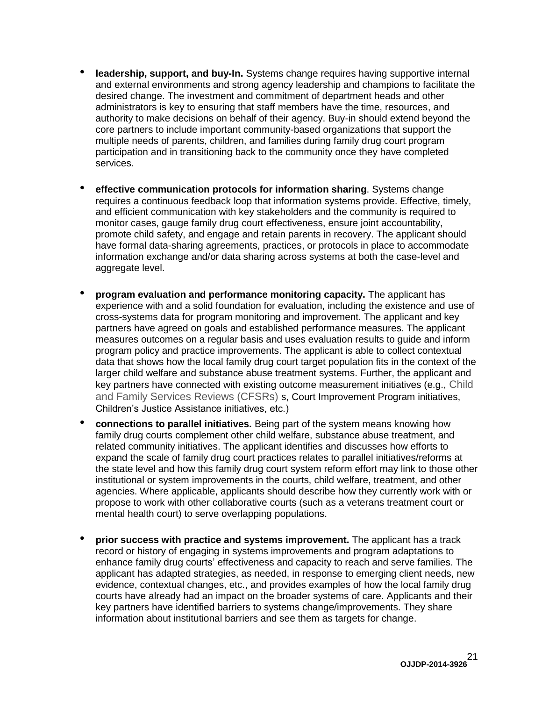- **leadership, support, and buy-In.** Systems change requires having supportive internal and external environments and strong agency leadership and champions to facilitate the desired change. The investment and commitment of department heads and other administrators is key to ensuring that staff members have the time, resources, and authority to make decisions on behalf of their agency. Buy-in should extend beyond the core partners to include important community-based organizations that support the multiple needs of parents, children, and families during family drug court program participation and in transitioning back to the community once they have completed services.
- **effective communication protocols for information sharing**. Systems change requires a continuous feedback loop that information systems provide. Effective, timely, and efficient communication with key stakeholders and the community is required to monitor cases, gauge family drug court effectiveness, ensure joint accountability, promote child safety, and engage and retain parents in recovery. The applicant should have formal data-sharing agreements, practices, or protocols in place to accommodate information exchange and/or data sharing across systems at both the case-level and aggregate level.
- **program evaluation and performance monitoring capacity.** The applicant has experience with and a solid foundation for evaluation, including the existence and use of cross-systems data for program monitoring and improvement. The applicant and key partners have agreed on goals and established performance measures. The applicant measures outcomes on a regular basis and uses evaluation results to guide and inform program policy and practice improvements. The applicant is able to collect contextual data that shows how the local family drug court target population fits in the context of the larger child welfare and substance abuse treatment systems. Further, the applicant and key partners have connected with existing outcome measurement initiatives (e.g., Child and Family Services Reviews (CFSRs) s, Court Improvement Program initiatives, Children's Justice Assistance initiatives, etc.)
- **connections to parallel initiatives.** Being part of the system means knowing how family drug courts complement other child welfare, substance abuse treatment, and related community initiatives. The applicant identifies and discusses how efforts to expand the scale of family drug court practices relates to parallel initiatives/reforms at the state level and how this family drug court system reform effort may link to those other institutional or system improvements in the courts, child welfare, treatment, and other agencies. Where applicable, applicants should describe how they currently work with or propose to work with other collaborative courts (such as a veterans treatment court or mental health court) to serve overlapping populations.
- **prior success with practice and systems improvement.** The applicant has a track record or history of engaging in systems improvements and program adaptations to enhance family drug courts' effectiveness and capacity to reach and serve families. The applicant has adapted strategies, as needed, in response to emerging client needs, new evidence, contextual changes, etc., and provides examples of how the local family drug courts have already had an impact on the broader systems of care. Applicants and their key partners have identified barriers to systems change/improvements. They share information about institutional barriers and see them as targets for change.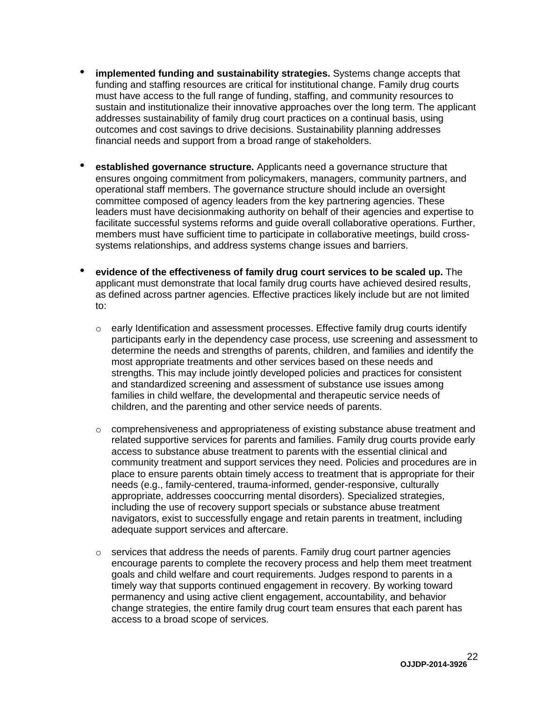- **implemented funding and sustainability strategies.** Systems change accepts that funding and staffing resources are critical for institutional change. Family drug courts must have access to the full range of funding, staffing, and community resources to sustain and institutionalize their innovative approaches over the long term. The applicant addresses sustainability of family drug court practices on a continual basis, using outcomes and cost savings to drive decisions. Sustainability planning addresses financial needs and support from a broad range of stakeholders.
- **established governance structure.** Applicants need a governance structure that ensures ongoing commitment from policymakers, managers, community partners, and operational staff members. The governance structure should include an oversight committee composed of agency leaders from the key partnering agencies. These leaders must have decisionmaking authority on behalf of their agencies and expertise to facilitate successful systems reforms and guide overall collaborative operations. Further, members must have sufficient time to participate in collaborative meetings, build crosssystems relationships, and address systems change issues and barriers.
- **evidence of the effectiveness of family drug court services to be scaled up.** The applicant must demonstrate that local family drug courts have achieved desired results, as defined across partner agencies. Effective practices likely include but are not limited to:
	- $\circ$  early Identification and assessment processes. Effective family drug courts identify participants early in the dependency case process, use screening and assessment to determine the needs and strengths of parents, children, and families and identify the most appropriate treatments and other services based on these needs and strengths. This may include jointly developed policies and practices for consistent and standardized screening and assessment of substance use issues among families in child welfare, the developmental and therapeutic service needs of children, and the parenting and other service needs of parents.
	- $\circ$  comprehensiveness and appropriateness of existing substance abuse treatment and related supportive services for parents and families. Family drug courts provide early access to substance abuse treatment to parents with the essential clinical and community treatment and support services they need. Policies and procedures are in place to ensure parents obtain timely access to treatment that is appropriate for their needs (e.g., family-centered, trauma-informed, gender-responsive, culturally appropriate, addresses cooccurring mental disorders). Specialized strategies, including the use of recovery support specials or substance abuse treatment navigators, exist to successfully engage and retain parents in treatment, including adequate support services and aftercare.
	- $\circ$  services that address the needs of parents. Family drug court partner agencies encourage parents to complete the recovery process and help them meet treatment goals and child welfare and court requirements. Judges respond to parents in a timely way that supports continued engagement in recovery. By working toward permanency and using active client engagement, accountability, and behavior change strategies, the entire family drug court team ensures that each parent has access to a broad scope of services.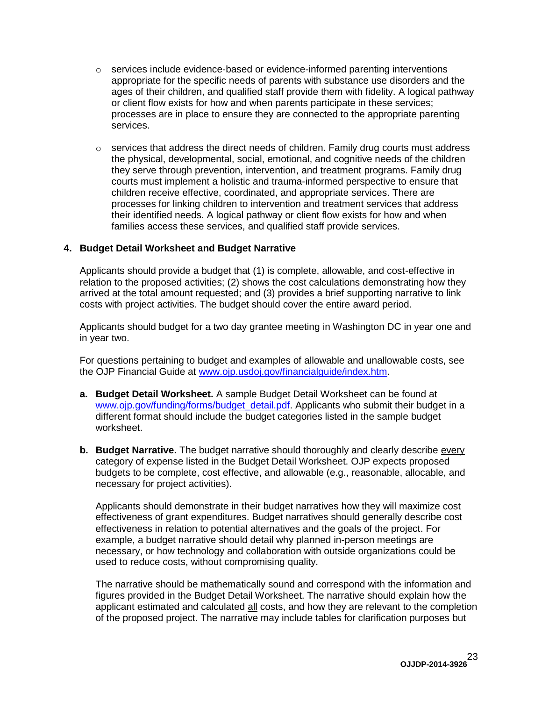- $\circ$  services include evidence-based or evidence-informed parenting interventions appropriate for the specific needs of parents with substance use disorders and the ages of their children, and qualified staff provide them with fidelity. A logical pathway or client flow exists for how and when parents participate in these services; processes are in place to ensure they are connected to the appropriate parenting services.
- $\circ$  services that address the direct needs of children. Family drug courts must address the physical, developmental, social, emotional, and cognitive needs of the children they serve through prevention, intervention, and treatment programs. Family drug courts must implement a holistic and trauma-informed perspective to ensure that children receive effective, coordinated, and appropriate services. There are processes for linking children to intervention and treatment services that address their identified needs. A logical pathway or client flow exists for how and when families access these services, and qualified staff provide services.

#### <span id="page-22-0"></span>**4. Budget Detail Worksheet and Budget Narrative**

Applicants should provide a budget that (1) is complete, allowable, and cost-effective in relation to the proposed activities; (2) shows the cost calculations demonstrating how they arrived at the total amount requested; and (3) provides a brief supporting narrative to link costs with project activities. The budget should cover the entire award period.

Applicants should budget for a two day grantee meeting in Washington DC in year one and in year two.

For questions pertaining to budget and examples of allowable and unallowable costs, see the OJP Financial Guide at [www.ojp.usdoj.gov/financialguide/index.htm.](http://www.ojp.usdoj.gov/financialguide/index.htm)

- **a. Budget Detail Worksheet.** A sample Budget Detail Worksheet can be found at [www.ojp.gov/funding/forms/budget\\_detail.pdf.](http://www.ojp.gov/funding/forms/budget_detail.pdf) Applicants who submit their budget in a different format should include the budget categories listed in the sample budget worksheet.
- **b. Budget Narrative.** The budget narrative should thoroughly and clearly describe every category of expense listed in the Budget Detail Worksheet. OJP expects proposed budgets to be complete, cost effective, and allowable (e.g., reasonable, allocable, and necessary for project activities).

Applicants should demonstrate in their budget narratives how they will maximize cost effectiveness of grant expenditures. Budget narratives should generally describe cost effectiveness in relation to potential alternatives and the goals of the project. For example, a budget narrative should detail why planned in-person meetings are necessary, or how technology and collaboration with outside organizations could be used to reduce costs, without compromising quality.

The narrative should be mathematically sound and correspond with the information and figures provided in the Budget Detail Worksheet. The narrative should explain how the applicant estimated and calculated all costs, and how they are relevant to the completion of the proposed project. The narrative may include tables for clarification purposes but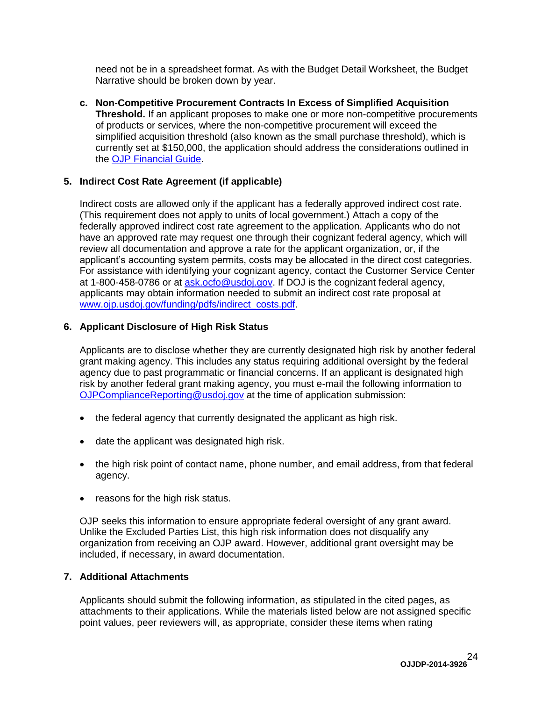need not be in a spreadsheet format. As with the Budget Detail Worksheet, the Budget Narrative should be broken down by year.

**c. Non-Competitive Procurement Contracts In Excess of Simplified Acquisition Threshold.** If an applicant proposes to make one or more non-competitive procurements of products or services, where the non-competitive procurement will exceed the simplified acquisition threshold (also known as the small purchase threshold), which is currently set at \$150,000, the application should address the considerations outlined in the [OJP Financial Guide.](http://www.ojp.usdoj.gov/financialguide/index.htm)

#### <span id="page-23-0"></span>**5. Indirect Cost Rate Agreement (if applicable)**

Indirect costs are allowed only if the applicant has a federally approved indirect cost rate. (This requirement does not apply to units of local government.) Attach a copy of the federally approved indirect cost rate agreement to the application. Applicants who do not have an approved rate may request one through their cognizant federal agency, which will review all documentation and approve a rate for the applicant organization, or, if the applicant's accounting system permits, costs may be allocated in the direct cost categories. For assistance with identifying your cognizant agency, contact the Customer Service Center at 1-800-458-0786 or at [ask.ocfo@usdoj.gov.](mailto:ask.ocfo@usdoj.gov) If DOJ is the cognizant federal agency, applicants may obtain information needed to submit an indirect cost rate proposal at [www.ojp.usdoj.gov/funding/pdfs/indirect\\_costs.pdf.](http://www.ojp.usdoj.gov/funding/pdfs/indirect_costs.pdf)

#### <span id="page-23-1"></span>**6. Applicant Disclosure of High Risk Status**

Applicants are to disclose whether they are currently designated high risk by another federal grant making agency. This includes any status requiring additional oversight by the federal agency due to past programmatic or financial concerns. If an applicant is designated high risk by another federal grant making agency, you must e-mail the following information to [OJPComplianceReporting@usdoj.gov](mailto:OJPComplianceReporting@usdoj.gov) at the time of application submission:

- the federal agency that currently designated the applicant as high risk.
- date the applicant was designated high risk.
- the high risk point of contact name, phone number, and email address, from that federal agency.
- reasons for the high risk status.

OJP seeks this information to ensure appropriate federal oversight of any grant award. Unlike the Excluded Parties List, this high risk information does not disqualify any organization from receiving an OJP award. However, additional grant oversight may be included, if necessary, in award documentation.

#### <span id="page-23-2"></span>**7. Additional Attachments**

Applicants should submit the following information, as stipulated in the cited pages, as attachments to their applications. While the materials listed below are not assigned specific point values, peer reviewers will, as appropriate, consider these items when rating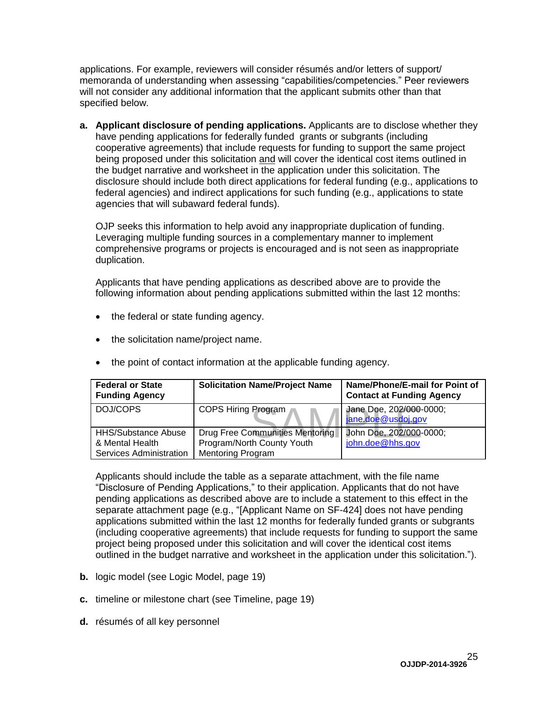applications. For example, reviewers will consider résumés and/or letters of support/ memoranda of understanding when assessing "capabilities/competencies." Peer reviewers will not consider any additional information that the applicant submits other than that specified below.

**a. Applicant disclosure of pending applications.** Applicants are to disclose whether they have pending applications for federally funded grants or subgrants (including cooperative agreements) that include requests for funding to support the same project being proposed under this solicitation and will cover the identical cost items outlined in the budget narrative and worksheet in the application under this solicitation. The disclosure should include both direct applications for federal funding (e.g., applications to federal agencies) and indirect applications for such funding (e.g., applications to state agencies that will subaward federal funds).

OJP seeks this information to help avoid any inappropriate duplication of funding. Leveraging multiple funding sources in a complementary manner to implement comprehensive programs or projects is encouraged and is not seen as inappropriate duplication.

Applicants that have pending applications as described above are to provide the following information about pending applications submitted within the last 12 months:

- the federal or state funding agency.
- the solicitation name/project name.

| <b>Federal or State</b><br><b>Funding Agency</b>                         | <b>Solicitation Name/Project Name</b>                                                     | Name/Phone/E-mail for Point of<br><b>Contact at Funding Agency</b> |
|--------------------------------------------------------------------------|-------------------------------------------------------------------------------------------|--------------------------------------------------------------------|
| DOJ/COPS                                                                 | <b>COPS Hiring Program</b>                                                                | Jane Doe, 202/000-0000;<br>jane.doe@usdoj.gov                      |
| <b>HHS/Substance Abuse</b><br>& Mental Health<br>Services Administration | Drug Free Communities Mentoring<br>Program/North County Youth<br><b>Mentoring Program</b> | John Doe, 202/000-0000;<br>john.doe@hhs.gov                        |

• the point of contact information at the applicable funding agency.

Applicants should include the table as a separate attachment, with the file name "Disclosure of Pending Applications," to their application. Applicants that do not have pending applications as described above are to include a statement to this effect in the separate attachment page (e.g., "[Applicant Name on SF-424] does not have pending applications submitted within the last 12 months for federally funded grants or subgrants (including cooperative agreements) that include requests for funding to support the same project being proposed under this solicitation and will cover the identical cost items outlined in the budget narrative and worksheet in the application under this solicitation.").

- **b.** logic model (see Logic Model, page 19)
- **c.** timeline or milestone chart (see Timeline, page 19)
- **d.** résumés of all key personnel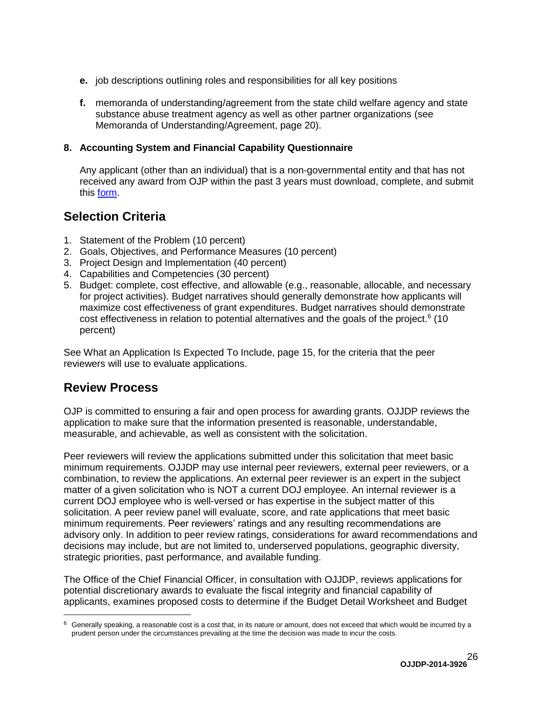- **e.** job descriptions outlining roles and responsibilities for all key positions
- **f.** memoranda of understanding/agreement from the state child welfare agency and state substance abuse treatment agency as well as other partner organizations (see Memoranda of Understanding/Agreement, page 20).

#### <span id="page-25-0"></span>**8. Accounting System and Financial Capability Questionnaire**

Any applicant (other than an individual) that is a non-governmental entity and that has not received any award from OJP within the past 3 years must download, complete, and submit this [form.](http://www.ojp.usdoj.gov/funding/forms/financial_capability.pdf)

### <span id="page-25-1"></span>**Selection Criteria**

- 1. Statement of the Problem (10 percent)
- 2. Goals, Objectives, and Performance Measures (10 percent)
- 3. Project Design and Implementation (40 percent)
- 4. Capabilities and Competencies (30 percent)
- 5. Budget: complete, cost effective, and allowable (e.g., reasonable, allocable, and necessary for project activities). Budget narratives should generally demonstrate how applicants will maximize cost effectiveness of grant expenditures. Budget narratives should demonstrate cost effectiveness in relation to potential alternatives and the goals of the project.<sup>6</sup> (10 percent)

See What an Application Is Expected To Include, page 15, for the criteria that the peer reviewers will use to evaluate applications.

### <span id="page-25-2"></span>**Review Process**

 $\overline{a}$ 

OJP is committed to ensuring a fair and open process for awarding grants. OJJDP reviews the application to make sure that the information presented is reasonable, understandable, measurable, and achievable, as well as consistent with the solicitation.

Peer reviewers will review the applications submitted under this solicitation that meet basic minimum requirements. OJJDP may use internal peer reviewers, external peer reviewers, or a combination, to review the applications. An external peer reviewer is an expert in the subject matter of a given solicitation who is NOT a current DOJ employee. An internal reviewer is a current DOJ employee who is well-versed or has expertise in the subject matter of this solicitation. A peer review panel will evaluate, score, and rate applications that meet basic minimum requirements. Peer reviewers' ratings and any resulting recommendations are advisory only. In addition to peer review ratings, considerations for award recommendations and decisions may include, but are not limited to, underserved populations, geographic diversity, strategic priorities, past performance, and available funding.

The Office of the Chief Financial Officer, in consultation with OJJDP, reviews applications for potential discretionary awards to evaluate the fiscal integrity and financial capability of applicants, examines proposed costs to determine if the Budget Detail Worksheet and Budget

 $6$  Generally speaking, a reasonable cost is a cost that, in its nature or amount, does not exceed that which would be incurred by a prudent person under the circumstances prevailing at the time the decision was made to incur the costs.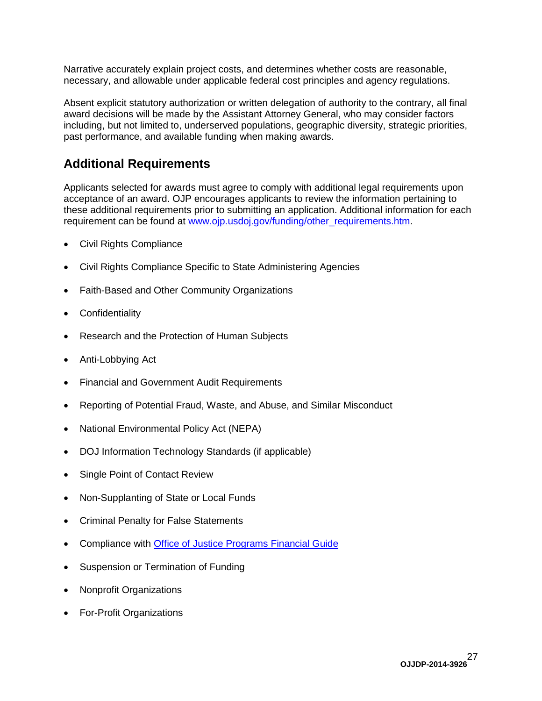Narrative accurately explain project costs, and determines whether costs are reasonable, necessary, and allowable under applicable federal cost principles and agency regulations.

Absent explicit statutory authorization or written delegation of authority to the contrary, all final award decisions will be made by the Assistant Attorney General, who may consider factors including, but not limited to, underserved populations, geographic diversity, strategic priorities, past performance, and available funding when making awards.

### <span id="page-26-0"></span>**Additional Requirements**

Applicants selected for awards must agree to comply with additional legal requirements upon acceptance of an award. OJP encourages applicants to review the information pertaining to these additional requirements prior to submitting an application. Additional information for each requirement can be found at [www.ojp.usdoj.gov/funding/other\\_requirements.htm.](http://www.ojp.usdoj.gov/funding/other_requirements.htm)

- Civil Rights Compliance
- Civil Rights Compliance Specific to State Administering Agencies
- Faith-Based and Other Community Organizations
- Confidentiality
- Research and the Protection of Human Subjects
- Anti-Lobbying Act
- Financial and Government Audit Requirements
- Reporting of Potential Fraud, Waste, and Abuse, and Similar Misconduct
- National Environmental Policy Act (NEPA)
- DOJ Information Technology Standards (if applicable)
- Single Point of Contact Review
- Non-Supplanting of State or Local Funds
- Criminal Penalty for False Statements
- Compliance with [Office of Justice Programs Financial Guide](http://www.ojp.usdoj.gov/financialguide/index.htm)
- Suspension or Termination of Funding
- Nonprofit Organizations
- For-Profit Organizations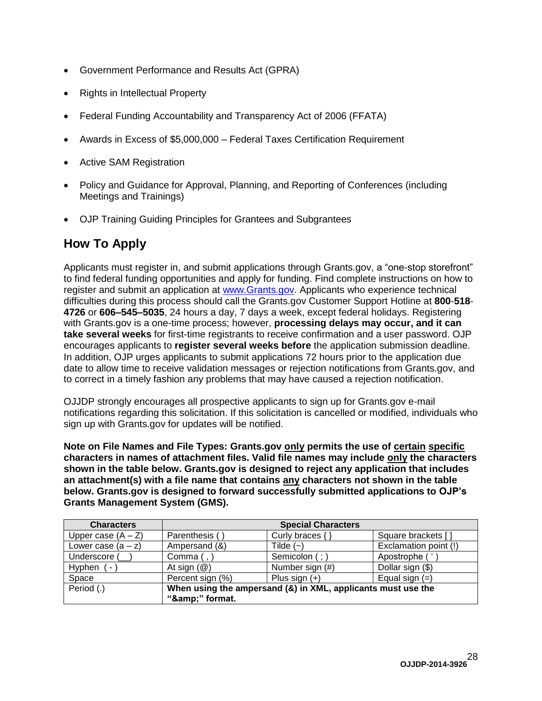- Government Performance and Results Act (GPRA)
- Rights in Intellectual Property
- Federal Funding Accountability and Transparency Act of 2006 (FFATA)
- Awards in Excess of \$5,000,000 Federal Taxes Certification Requirement
- Active SAM Registration
- Policy and Guidance for Approval, Planning, and Reporting of Conferences (including Meetings and Trainings)
- OJP Training Guiding Principles for Grantees and Subgrantees

## <span id="page-27-0"></span>**How To Apply**

Applicants must register in, and submit applications through Grants.gov, a "one-stop storefront" to find federal funding opportunities and apply for funding. Find complete instructions on how to register and submit an application at [www.Grants.gov.](http://www.grants.gov/) Applicants who experience technical difficulties during this process should call the Grants.gov Customer Support Hotline at **800**-**518**- **4726** or **606–545–5035**, 24 hours a day, 7 days a week, except federal holidays. Registering with Grants.gov is a one-time process; however, **processing delays may occur, and it can take several weeks** for first-time registrants to receive confirmation and a user password. OJP encourages applicants to **register several weeks before** the application submission deadline. In addition, OJP urges applicants to submit applications 72 hours prior to the application due date to allow time to receive validation messages or rejection notifications from Grants.gov, and to correct in a timely fashion any problems that may have caused a rejection notification.

OJJDP strongly encourages all prospective applicants to sign up for Grants.gov e-mail notifications regarding this solicitation. If this solicitation is cancelled or modified, individuals who sign up with Grants.gov for updates will be notified.

**Note on File Names and File Types: Grants.gov only permits the use of certain specific characters in names of attachment files. Valid file names may include only the characters shown in the table below. Grants.gov is designed to reject any application that includes an attachment(s) with a file name that contains any characters not shown in the table below. Grants.gov is designed to forward successfully submitted applications to OJP's Grants Management System (GMS).**

| <b>Characters</b>    | <b>Special Characters</b>                                    |                   |                       |
|----------------------|--------------------------------------------------------------|-------------------|-----------------------|
| Upper case $(A - Z)$ | Parenthesis (                                                | Curly braces $\{$ | Square brackets []    |
| Lower case $(a - z)$ | Ampersand (&)                                                | Tilde $(-)$       | Exclamation point (!) |
| Underscore (         | Comma $($ , $)$                                              | Semicolon (;)     | Apostrophe ('         |
| Hyphen<br>۰          | At sign $(\mathcal{Q})$                                      | Number sign (#)   | Dollar sign (\$)      |
| Space                | Percent sign (%)                                             | Plus sign $(+)$   | Equal sign $(=)$      |
| Period (.)           | When using the ampersand (&) in XML, applicants must use the |                   |                       |
|                      | "&" format.                                                  |                   |                       |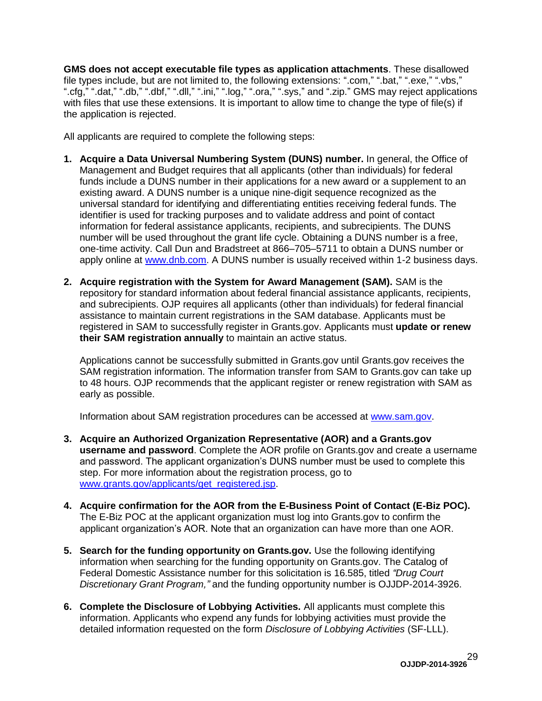**GMS does not accept executable file types as application attachments**. These disallowed file types include, but are not limited to, the following extensions: ".com," ".bat," ".exe," ".vbs," ".cfg," ".dat," ".db," ".dbf," ".dll," ".ini," ".log," ".ora," ".sys," and ".zip." GMS may reject applications with files that use these extensions. It is important to allow time to change the type of file(s) if the application is rejected.

All applicants are required to complete the following steps:

- **1. Acquire a Data Universal Numbering System (DUNS) number.** In general, the Office of Management and Budget requires that all applicants (other than individuals) for federal funds include a DUNS number in their applications for a new award or a supplement to an existing award. A DUNS number is a unique nine-digit sequence recognized as the universal standard for identifying and differentiating entities receiving federal funds. The identifier is used for tracking purposes and to validate address and point of contact information for federal assistance applicants, recipients, and subrecipients. The DUNS number will be used throughout the grant life cycle. Obtaining a DUNS number is a free, one-time activity. Call Dun and Bradstreet at 866–705–5711 to obtain a DUNS number or apply online at [www.dnb.com.](http://www.dnb.com/) A DUNS number is usually received within 1-2 business days.
- **2. Acquire registration with the System for Award Management (SAM).** SAM is the repository for standard information about federal financial assistance applicants, recipients, and subrecipients. OJP requires all applicants (other than individuals) for federal financial assistance to maintain current registrations in the SAM database. Applicants must be registered in SAM to successfully register in Grants.gov. Applicants must **update or renew their SAM registration annually** to maintain an active status.

Applications cannot be successfully submitted in Grants.gov until Grants.gov receives the SAM registration information. The information transfer from SAM to Grants.gov can take up to 48 hours. OJP recommends that the applicant register or renew registration with SAM as early as possible.

Information about SAM registration procedures can be accessed at [www.sam.gov.](https://www.sam.gov/portal/public/SAM/?portal:componentId=1f834b82-3fed-4eb3-a1f8-ea1f226a7955&portal:type=action&interactionstate=JBPNS_rO0ABXc0ABBfanNmQnJpZGdlVmlld0lkAAAAAQATL2pzZi9uYXZpZ2F0aW9uLmpzcAAHX19FT0ZfXw**)

- **3. Acquire an Authorized Organization Representative (AOR) and a Grants.gov username and password**. Complete the AOR profile on Grants.gov and create a username and password. The applicant organization's DUNS number must be used to complete this step. For more information about the registration process, go to [www.grants.gov/applicants/get\\_registered.jsp.](http://www.grants.gov/applicants/get_registered.jsp)
- **4. Acquire confirmation for the AOR from the E-Business Point of Contact (E-Biz POC).**  The E-Biz POC at the applicant organization must log into Grants.gov to confirm the applicant organization's AOR. Note that an organization can have more than one AOR.
- **5. Search for the funding opportunity on Grants.gov.** Use the following identifying information when searching for the funding opportunity on Grants.gov. The Catalog of Federal Domestic Assistance number for this solicitation is 16.585, titled *"Drug Court Discretionary Grant Program,"* and the funding opportunity number is OJJDP-2014-3926.
- **6. Complete the Disclosure of Lobbying Activities.** All applicants must complete this information. Applicants who expend any funds for lobbying activities must provide the detailed information requested on the form *Disclosure of Lobbying Activities* (SF-LLL).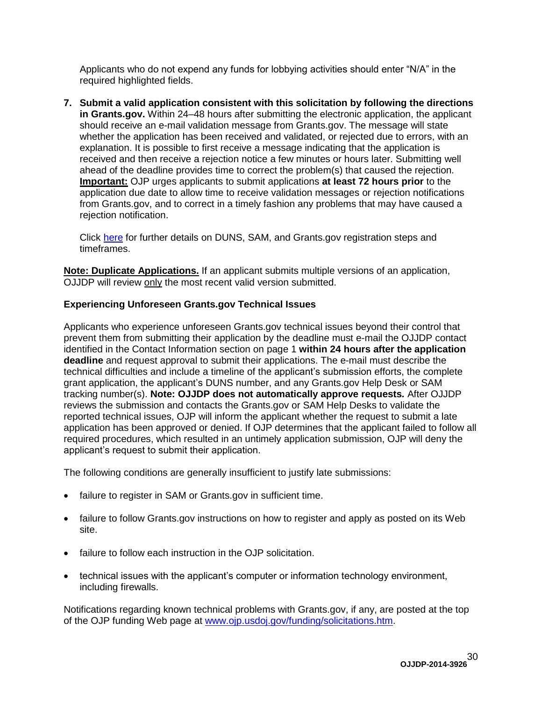Applicants who do not expend any funds for lobbying activities should enter "N/A" in the required highlighted fields.

**7. Submit a valid application consistent with this solicitation by following the directions in Grants.gov.** Within 24–48 hours after submitting the electronic application, the applicant should receive an e-mail validation message from Grants.gov. The message will state whether the application has been received and validated, or rejected due to errors, with an explanation. It is possible to first receive a message indicating that the application is received and then receive a rejection notice a few minutes or hours later. Submitting well ahead of the deadline provides time to correct the problem(s) that caused the rejection. **Important:** OJP urges applicants to submit applications **at least 72 hours prior** to the application due date to allow time to receive validation messages or rejection notifications from Grants.gov, and to correct in a timely fashion any problems that may have caused a rejection notification.

Click [here](http://www.grants.gov/web/grants/applicants/organization-registration.html) for further details on DUNS, SAM, and Grants.gov registration steps and timeframes.

**Note: Duplicate Applications.** If an applicant submits multiple versions of an application, OJJDP will review only the most recent valid version submitted.

### **Experiencing Unforeseen Grants.gov Technical Issues**

Applicants who experience unforeseen Grants.gov technical issues beyond their control that prevent them from submitting their application by the deadline must e-mail the OJJDP contact identified in the Contact Information section on page 1 **within 24 hours after the application deadline** and request approval to submit their applications. The e-mail must describe the technical difficulties and include a timeline of the applicant's submission efforts, the complete grant application, the applicant's DUNS number, and any Grants.gov Help Desk or SAM tracking number(s). **Note: OJJDP does not automatically approve requests***.* After OJJDP reviews the submission and contacts the Grants.gov or SAM Help Desks to validate the reported technical issues, OJP will inform the applicant whether the request to submit a late application has been approved or denied. If OJP determines that the applicant failed to follow all required procedures, which resulted in an untimely application submission, OJP will deny the applicant's request to submit their application.

The following conditions are generally insufficient to justify late submissions:

- failure to register in SAM or Grants.gov in sufficient time.
- failure to follow Grants.gov instructions on how to register and apply as posted on its Web site.
- failure to follow each instruction in the OJP solicitation.
- technical issues with the applicant's computer or information technology environment, including firewalls.

Notifications regarding known technical problems with Grants.gov, if any, are posted at the top of the OJP funding Web page at [www.ojp.usdoj.gov/funding/solicitations.htm.](http://www.ojp.gov/funding/solicitations.htm)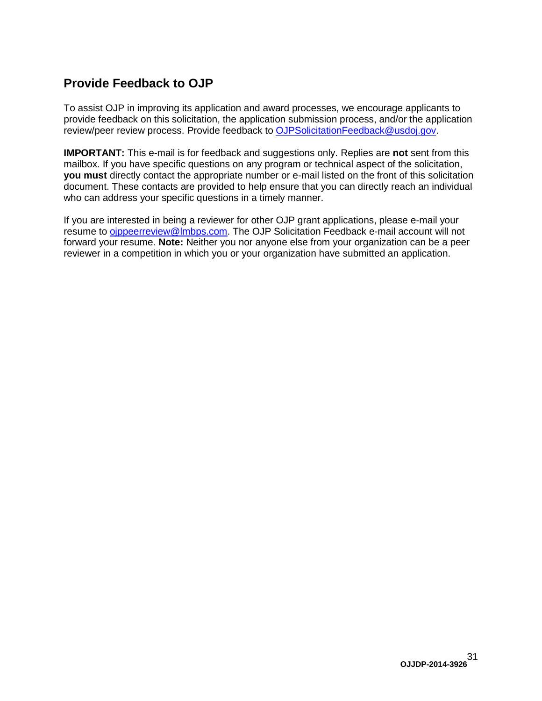### <span id="page-30-0"></span>**Provide Feedback to OJP**

To assist OJP in improving its application and award processes, we encourage applicants to provide feedback on this solicitation, the application submission process, and/or the application review/peer review process. Provide feedback to [OJPSolicitationFeedback@usdoj.gov.](mailto:OJPSolicitationFeedback@usdoj.gov)

**IMPORTANT:** This e-mail is for feedback and suggestions only. Replies are **not** sent from this mailbox. If you have specific questions on any program or technical aspect of the solicitation, **you must** directly contact the appropriate number or e-mail listed on the front of this solicitation document. These contacts are provided to help ensure that you can directly reach an individual who can address your specific questions in a timely manner.

If you are interested in being a reviewer for other OJP grant applications, please e-mail your resume to [ojppeerreview@lmbps.com.](mailto:ojppeerreview@lmbps.com) The OJP Solicitation Feedback e-mail account will not forward your resume. **Note:** Neither you nor anyone else from your organization can be a peer reviewer in a competition in which you or your organization have submitted an application.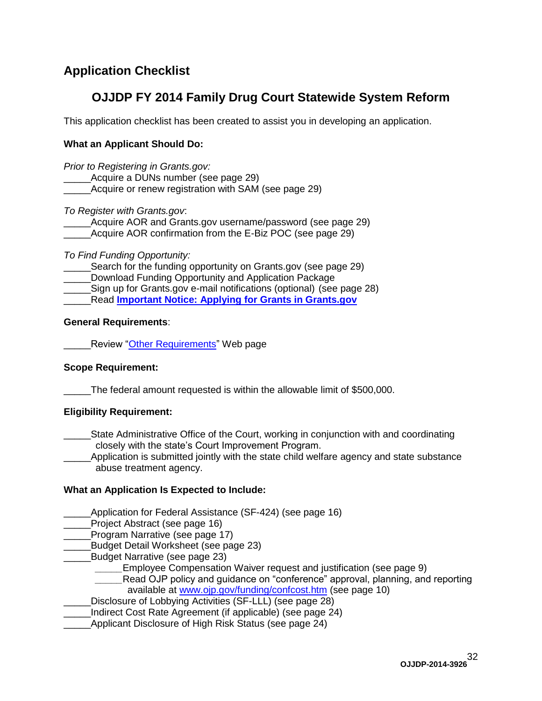### <span id="page-31-0"></span>**Application Checklist**

### **OJJDP FY 2014 Family Drug Court Statewide System Reform**

This application checklist has been created to assist you in developing an application.

### **What an Applicant Should Do:**

*Prior to Registering in Grants.gov:*

- Acquire a DUNs number (see page 29)
- Acquire or renew registration with SAM (see page 29)

*To Register with Grants.gov*:

Acquire AOR and Grants.gov username/password (see page 29) Acquire AOR confirmation from the E-Biz POC (see page 29)

*To Find Funding Opportunity:* 

Search for the funding opportunity on Grants.gov (see page 29) Download Funding Opportunity and Application Package Sign up for Grants.gov e-mail notifications (optional) (see page 28) \_\_\_\_\_Read **[Important Notice: Applying for Grants in Grants.gov](http://www.ojp.usdoj.gov/funding/grantsgov_information.htm)**

#### **General Requirements**:

**Review ["Other Requirements"](http://www.ojp.usdoj.gov/funding/other_requirements.htm) Web page** 

### **Scope Requirement:**

The federal amount requested is within the allowable limit of \$500,000.

### **Eligibility Requirement:**

\_\_\_\_\_State Administrative Office of the Court, working in conjunction with and coordinating closely with the state's Court Improvement Program.

Application is submitted jointly with the state child welfare agency and state substance abuse treatment agency.

### **What an Application Is Expected to Include:**

Application for Federal Assistance (SF-424) (see page 16)

Project Abstract (see page 16)

- Program Narrative (see page 17)
- \_\_\_\_\_Budget Detail Worksheet (see page 23)
- Budget Narrative (see page 23)
	- Employee Compensation Waiver request and justification (see page 9)
	- Read OJP policy and quidance on "conference" approval, planning, and reporting available at [www.ojp.gov/funding/confcost.htm](http://www.ojp.gov/funding/confcost.htm) (see page 10)
- Disclosure of Lobbying Activities (SF-LLL) (see page 28)
- Indirect Cost Rate Agreement (if applicable) (see page 24)
- Applicant Disclosure of High Risk Status (see page 24)